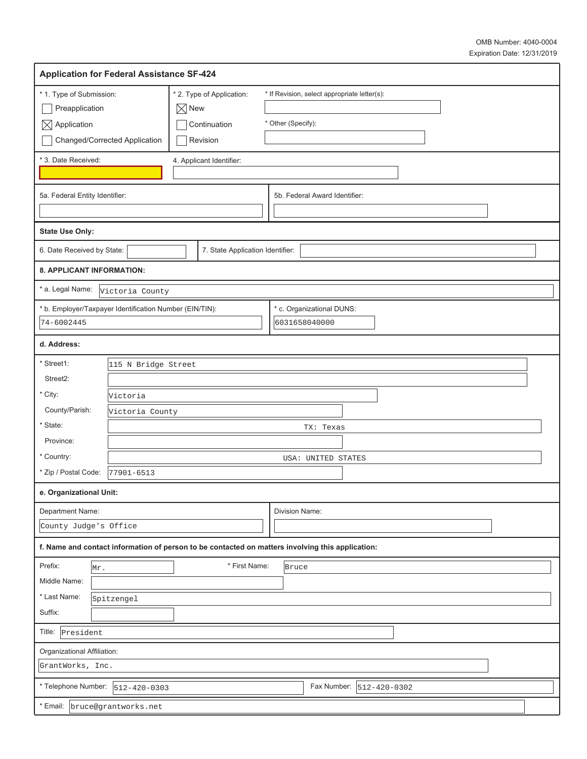| <b>Application for Federal Assistance SF-424</b>                                                                      |                                                 |                 |                                                       |  |                                                                                                  |  |
|-----------------------------------------------------------------------------------------------------------------------|-------------------------------------------------|-----------------|-------------------------------------------------------|--|--------------------------------------------------------------------------------------------------|--|
| * 1. Type of Submission:<br>Preapplication<br>$\boxtimes$ Application                                                 | Changed/Corrected Application                   | $\boxtimes$ New | * 2. Type of Application:<br>Continuation<br>Revision |  | * If Revision, select appropriate letter(s):<br>* Other (Specify):                               |  |
| * 3. Date Received:                                                                                                   |                                                 |                 | 4. Applicant Identifier:                              |  |                                                                                                  |  |
| 5a. Federal Entity Identifier:                                                                                        |                                                 |                 |                                                       |  | 5b. Federal Award Identifier:                                                                    |  |
| <b>State Use Only:</b>                                                                                                |                                                 |                 |                                                       |  |                                                                                                  |  |
| 6. Date Received by State:                                                                                            |                                                 |                 | 7. State Application Identifier:                      |  |                                                                                                  |  |
| 8. APPLICANT INFORMATION:                                                                                             |                                                 |                 |                                                       |  |                                                                                                  |  |
| * a. Legal Name:                                                                                                      | Victoria County                                 |                 |                                                       |  |                                                                                                  |  |
| * b. Employer/Taxpayer Identification Number (EIN/TIN):<br>74-6002445                                                 |                                                 |                 |                                                       |  | * c. Organizational DUNS:<br>6031658040000                                                       |  |
| d. Address:                                                                                                           |                                                 |                 |                                                       |  |                                                                                                  |  |
| * Street1:<br>115 N Bridge Street<br>Street2:<br>* City:<br>Victoria<br>County/Parish:<br>Victoria County<br>* State: |                                                 |                 |                                                       |  | TX: Texas                                                                                        |  |
| Province:                                                                                                             |                                                 |                 |                                                       |  |                                                                                                  |  |
| * Country:<br>* Zip / Postal Code:                                                                                    | 77901-6513                                      |                 |                                                       |  | USA: UNITED STATES                                                                               |  |
| e. Organizational Unit:                                                                                               |                                                 |                 |                                                       |  |                                                                                                  |  |
| Department Name:                                                                                                      | Division Name:<br>County Judge's Office         |                 |                                                       |  |                                                                                                  |  |
|                                                                                                                       |                                                 |                 |                                                       |  | f. Name and contact information of person to be contacted on matters involving this application: |  |
| Prefix:<br>Mr.<br>Middle Name:<br>* Last Name:<br>Suffix:                                                             | Spitzengel                                      |                 | * First Name:                                         |  | Bruce                                                                                            |  |
| Title:<br>President                                                                                                   |                                                 |                 |                                                       |  |                                                                                                  |  |
|                                                                                                                       | Organizational Affiliation:<br>GrantWorks, Inc. |                 |                                                       |  |                                                                                                  |  |
| * Telephone Number:                                                                                                   | Fax Number:  512-420-0302<br>$512 - 420 - 0303$ |                 |                                                       |  |                                                                                                  |  |
| * Email:                                                                                                              | bruce@grantworks.net                            |                 |                                                       |  |                                                                                                  |  |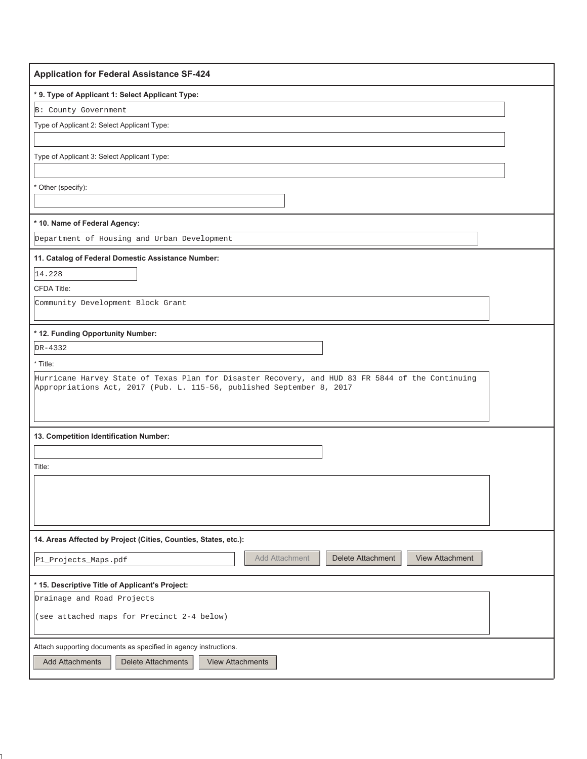| <b>Application for Federal Assistance SF-424</b>                                                                                                                          |
|---------------------------------------------------------------------------------------------------------------------------------------------------------------------------|
| * 9. Type of Applicant 1: Select Applicant Type:                                                                                                                          |
| B: County Government                                                                                                                                                      |
| Type of Applicant 2: Select Applicant Type:                                                                                                                               |
|                                                                                                                                                                           |
| Type of Applicant 3: Select Applicant Type:                                                                                                                               |
|                                                                                                                                                                           |
| * Other (specify):                                                                                                                                                        |
|                                                                                                                                                                           |
| * 10. Name of Federal Agency:                                                                                                                                             |
| Department of Housing and Urban Development                                                                                                                               |
| 11. Catalog of Federal Domestic Assistance Number:                                                                                                                        |
| 14.228                                                                                                                                                                    |
| <b>CFDA Title:</b>                                                                                                                                                        |
| Community Development Block Grant                                                                                                                                         |
|                                                                                                                                                                           |
| * 12. Funding Opportunity Number:                                                                                                                                         |
| DR-4332                                                                                                                                                                   |
| * Title:                                                                                                                                                                  |
| Hurricane Harvey State of Texas Plan for Disaster Recovery, and HUD 83 FR 5844 of the Continuing<br>Appropriations Act, 2017 (Pub. L. 115-56, published September 8, 2017 |
|                                                                                                                                                                           |
|                                                                                                                                                                           |
| 13. Competition Identification Number:                                                                                                                                    |
|                                                                                                                                                                           |
| Title:                                                                                                                                                                    |
|                                                                                                                                                                           |
|                                                                                                                                                                           |
|                                                                                                                                                                           |
| 14. Areas Affected by Project (Cities, Counties, States, etc.):                                                                                                           |
| Add Attachment<br>Delete Attachment<br>View Attachment<br>P1_Projects_Maps.pdf                                                                                            |
|                                                                                                                                                                           |
| * 15. Descriptive Title of Applicant's Project:                                                                                                                           |
| Drainage and Road Projects                                                                                                                                                |
| (see attached maps for Precinct 2-4 below)                                                                                                                                |
| Attach supporting documents as specified in agency instructions.                                                                                                          |
| <b>Add Attachments</b><br>Delete Attachments<br><b>View Attachments</b>                                                                                                   |
|                                                                                                                                                                           |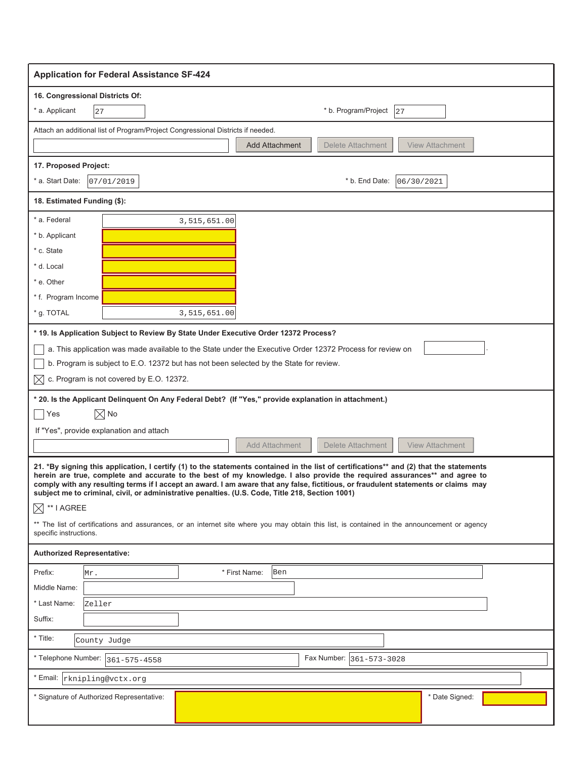| <b>Application for Federal Assistance SF-424</b>                                                                                                                                                                                                                                                                                                                                                                                                                                                                |
|-----------------------------------------------------------------------------------------------------------------------------------------------------------------------------------------------------------------------------------------------------------------------------------------------------------------------------------------------------------------------------------------------------------------------------------------------------------------------------------------------------------------|
| 16. Congressional Districts Of:                                                                                                                                                                                                                                                                                                                                                                                                                                                                                 |
| * b. Program/Project<br>* a. Applicant<br>27<br>27                                                                                                                                                                                                                                                                                                                                                                                                                                                              |
| Attach an additional list of Program/Project Congressional Districts if needed.                                                                                                                                                                                                                                                                                                                                                                                                                                 |
| Delete Attachment<br><b>View Attachment</b><br><b>Add Attachment</b>                                                                                                                                                                                                                                                                                                                                                                                                                                            |
| 17. Proposed Project:                                                                                                                                                                                                                                                                                                                                                                                                                                                                                           |
| * a. Start Date:<br>* b. End Date:<br>07/01/2019<br>06/30/2021                                                                                                                                                                                                                                                                                                                                                                                                                                                  |
| 18. Estimated Funding (\$):                                                                                                                                                                                                                                                                                                                                                                                                                                                                                     |
| * a. Federal<br>3,515,651.00                                                                                                                                                                                                                                                                                                                                                                                                                                                                                    |
| * b. Applicant                                                                                                                                                                                                                                                                                                                                                                                                                                                                                                  |
| * c. State                                                                                                                                                                                                                                                                                                                                                                                                                                                                                                      |
| * d. Local                                                                                                                                                                                                                                                                                                                                                                                                                                                                                                      |
| * e. Other                                                                                                                                                                                                                                                                                                                                                                                                                                                                                                      |
| * f. Program Income                                                                                                                                                                                                                                                                                                                                                                                                                                                                                             |
| * g. TOTAL<br>3,515,651.00                                                                                                                                                                                                                                                                                                                                                                                                                                                                                      |
| * 19. Is Application Subject to Review By State Under Executive Order 12372 Process?                                                                                                                                                                                                                                                                                                                                                                                                                            |
| a. This application was made available to the State under the Executive Order 12372 Process for review on                                                                                                                                                                                                                                                                                                                                                                                                       |
| b. Program is subject to E.O. 12372 but has not been selected by the State for review.                                                                                                                                                                                                                                                                                                                                                                                                                          |
| c. Program is not covered by E.O. 12372.<br>M                                                                                                                                                                                                                                                                                                                                                                                                                                                                   |
|                                                                                                                                                                                                                                                                                                                                                                                                                                                                                                                 |
| * 20. Is the Applicant Delinquent On Any Federal Debt? (If "Yes," provide explanation in attachment.)                                                                                                                                                                                                                                                                                                                                                                                                           |
| $\boxtimes$ No<br>Yes                                                                                                                                                                                                                                                                                                                                                                                                                                                                                           |
| If "Yes", provide explanation and attach                                                                                                                                                                                                                                                                                                                                                                                                                                                                        |
| <b>Add Attachment</b><br><b>Delete Attachment</b><br><b>View Attachment</b>                                                                                                                                                                                                                                                                                                                                                                                                                                     |
| 21. *By signing this application, I certify (1) to the statements contained in the list of certifications** and (2) that the statements<br>herein are true, complete and accurate to the best of my knowledge. I also provide the required assurances** and agree to<br>comply with any resulting terms if I accept an award. I am aware that any false, fictitious, or fraudulent statements or claims may<br>subject me to criminal, civil, or administrative penalties. (U.S. Code, Title 218, Section 1001) |
| $\bowtie$<br>** I AGREE                                                                                                                                                                                                                                                                                                                                                                                                                                                                                         |
| ** The list of certifications and assurances, or an internet site where you may obtain this list, is contained in the announcement or agency<br>specific instructions.                                                                                                                                                                                                                                                                                                                                          |
| <b>Authorized Representative:</b>                                                                                                                                                                                                                                                                                                                                                                                                                                                                               |
| Prefix:<br>* First Name:<br>Ben<br>Mr.                                                                                                                                                                                                                                                                                                                                                                                                                                                                          |
| Middle Name:                                                                                                                                                                                                                                                                                                                                                                                                                                                                                                    |
| * Last Name:<br>Zeller                                                                                                                                                                                                                                                                                                                                                                                                                                                                                          |
| Suffix:                                                                                                                                                                                                                                                                                                                                                                                                                                                                                                         |
| * Title:<br>County Judge                                                                                                                                                                                                                                                                                                                                                                                                                                                                                        |
| * Telephone Number:  <br>Fax Number: 361-573-3028<br>361-575-4558                                                                                                                                                                                                                                                                                                                                                                                                                                               |
|                                                                                                                                                                                                                                                                                                                                                                                                                                                                                                                 |
| * Email:  rknipling@vctx.org                                                                                                                                                                                                                                                                                                                                                                                                                                                                                    |
| * Date Signed:<br>* Signature of Authorized Representative:                                                                                                                                                                                                                                                                                                                                                                                                                                                     |
|                                                                                                                                                                                                                                                                                                                                                                                                                                                                                                                 |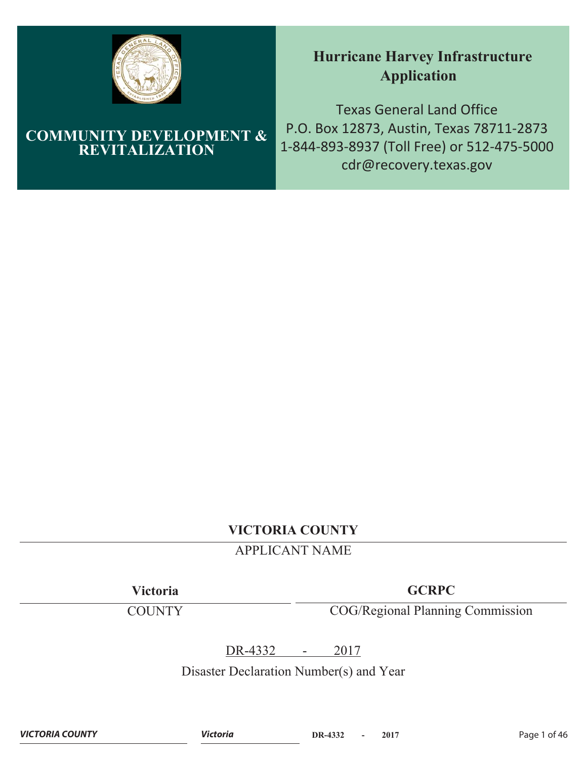

# **COMMUNITY DEVELOPMENT & REVITALIZATION**

# **Hurricane Harvey Infrastructure Application**

Texas General Land Office P.O. Box 12873, Austin, Texas 78711-2873 1-844-893-8937 (Toll Free) or 512-475-5000 cdr@recovery.texas.gov

# **VICTORIA COUNTY**

# APPLICANT NAME

**Victoria**

**COUNTY** 

**GCRPC**

COG/Regional Planning Commission

DR-4332 - 2017

Disaster Declaration Number(s) and Year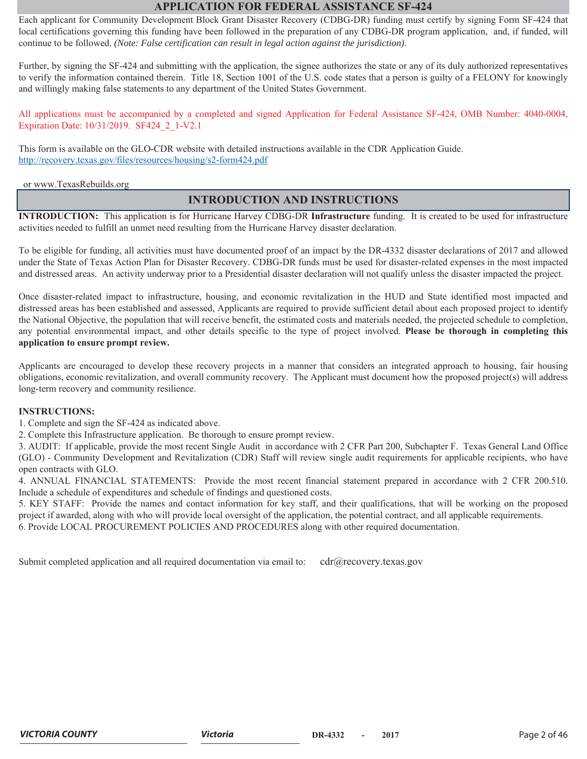### **APPLICATION FOR FEDERAL ASSISTANCE SF-424**

Each applicant for Community Development Block Grant Disaster Recovery (CDBG-DR) funding must certify by signing Form SF-424 that local certifications governing this funding have been followed in the preparation of any CDBG-DR program application, and, if funded, will continue to be followed. *(Note: False certification can result in legal action against the jurisdiction)*.

Further, by signing the SF-424 and submitting with the application, the signee authorizes the state or any of its duly authorized representatives to verify the information contained therein. Title 18, Section 1001 of the U.S. code states that a person is guilty of a FELONY for knowingly and willingly making false statements to any department of the United States Government.

All applications must be accompanied by a completed and signed Application for Federal Assistance SF-424, OMB Number: 4040-0004, Expiration Date: 10/31/2019. SF424\_2\_1-V2.1

This form is available on the GLO-CDR website with detailed instructions available in the CDR Application Guide. http://recovery.texas.gov/files/resources/housing/s2-form424.pdf

or www.TexasRebuilds.org

### **INTRODUCTION AND INSTRUCTIONS**

**INTRODUCTION:** This application is for Hurricane Harvey CDBG-DR **Infrastructure** funding. It is created to be used for infrastructure activities needed to fulfill an unmet need resulting from the Hurricane Harvey disaster declaration.

To be eligible for funding, all activities must have documented proof of an impact by the DR-4332 disaster declarations of 2017 and allowed under the State of Texas Action Plan for Disaster Recovery. CDBG-DR funds must be used for disaster-related expenses in the most impacted and distressed areas. An activity underway prior to a Presidential disaster declaration will not qualify unless the disaster impacted the project.

Once disaster-related impact to infrastructure, housing, and economic revitalization in the HUD and State identified most impacted and distressed areas has been established and assessed, Applicants are required to provide sufficient detail about each proposed project to identify the National Objective, the population that will receive benefit, the estimated costs and materials needed, the projected schedule to completion, any potential environmental impact, and other details specific to the type of project involved. **Please be thorough in completing this application to ensure prompt review.**

Applicants are encouraged to develop these recovery projects in a manner that considers an integrated approach to housing, fair housing obligations, economic revitalization, and overall community recovery. The Applicant must document how the proposed project(s) will address long-term recovery and community resilience.

#### **INSTRUCTIONS:**

1. Complete and sign the SF-424 as indicated above.

2. Complete this Infrastructure application. Be thorough to ensure prompt review.

3. AUDIT: If applicable, provide the most recent Single Audit in accordance with 2 CFR Part 200, Subchapter F. Texas General Land Office (GLO) - Community Development and Revitalization (CDR) Staff will review single audit requirements for applicable recipients, who have open contracts with GLO.

4. ANNUAL FINANCIAL STATEMENTS: Provide the most recent financial statement prepared in accordance with 2 CFR 200.510. Include a schedule of expenditures and schedule of findings and questioned costs.

5. KEY STAFF: Provide the names and contact information for key staff, and their qualifications, that will be working on the proposed project if awarded, along with who will provide local oversight of the application, the potential contract, and all applicable requirements. 6. Provide LOCAL PROCUREMENT POLICIES AND PROCEDURES along with other required documentation.

Submit completed application and all required documentation via email to:  $cdr(\hat{a})$  recovery.texas.gov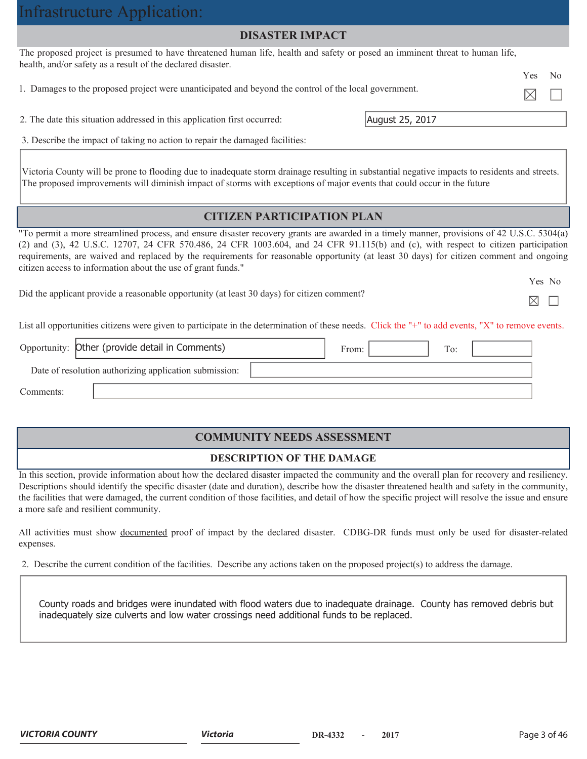| Infrastructure Application:                                                                                                                                                                                                                                                                                                                                                                                                                                                                 |                  |
|---------------------------------------------------------------------------------------------------------------------------------------------------------------------------------------------------------------------------------------------------------------------------------------------------------------------------------------------------------------------------------------------------------------------------------------------------------------------------------------------|------------------|
| <b>DISASTER IMPACT</b>                                                                                                                                                                                                                                                                                                                                                                                                                                                                      |                  |
| The proposed project is presumed to have threatened human life, health and safety or posed an imminent threat to human life,<br>health, and/or safety as a result of the declared disaster.                                                                                                                                                                                                                                                                                                 |                  |
| 1. Damages to the proposed project were unanticipated and beyond the control of the local government.                                                                                                                                                                                                                                                                                                                                                                                       | <b>Yes</b><br>No |
| 2. The date this situation addressed in this application first occurred:                                                                                                                                                                                                                                                                                                                                                                                                                    | August 25, 2017  |
| 3. Describe the impact of taking no action to repair the damaged facilities:                                                                                                                                                                                                                                                                                                                                                                                                                |                  |
| Victoria County will be prone to flooding due to inadequate storm drainage resulting in substantial negative impacts to residents and streets.                                                                                                                                                                                                                                                                                                                                              |                  |
| The proposed improvements will diminish impact of storms with exceptions of major events that could occur in the future                                                                                                                                                                                                                                                                                                                                                                     |                  |
| <b>CITIZEN PARTICIPATION PLAN</b>                                                                                                                                                                                                                                                                                                                                                                                                                                                           |                  |
| "To permit a more streamlined process, and ensure disaster recovery grants are awarded in a timely manner, provisions of 42 U.S.C. 5304(a)<br>(2) and (3), 42 U.S.C. 12707, 24 CFR 570.486, 24 CFR 1003.604, and 24 CFR 91.115(b) and (c), with respect to citizen participation<br>requirements, are waived and replaced by the requirements for reasonable opportunity (at least 30 days) for citizen comment and ongoing<br>citizen access to information about the use of grant funds." |                  |
| Did the applicant provide a reasonable opportunity (at least 30 days) for citizen comment?                                                                                                                                                                                                                                                                                                                                                                                                  | Yes No<br>M      |
| List all opportunities citizens were given to participate in the determination of these needs. Click the "+" to add events, "X" to remove events.                                                                                                                                                                                                                                                                                                                                           |                  |
| Opportunity: Other (provide detail in Comments)<br>From:                                                                                                                                                                                                                                                                                                                                                                                                                                    | To:              |

Comments:

### **COMMUNITY NEEDS ASSESSMENT**

### **DESCRIPTION OF THE DAMAGE**

In this section, provide information about how the declared disaster impacted the community and the overall plan for recovery and resiliency. Descriptions should identify the specific disaster (date and duration), describe how the disaster threatened health and safety in the community, the facilities that were damaged, the current condition of those facilities, and detail of how the specific project will resolve the issue and ensure a more safe and resilient community.

All activities must show documented proof of impact by the declared disaster. CDBG-DR funds must only be used for disaster-related expenses.

2. Describe the current condition of the facilities. Describe any actions taken on the proposed project(s) to address the damage.

County roads and bridges were inundated with flood waters due to inadequate drainage. County has removed debris but inadequately size culverts and low water crossings need additional funds to be replaced.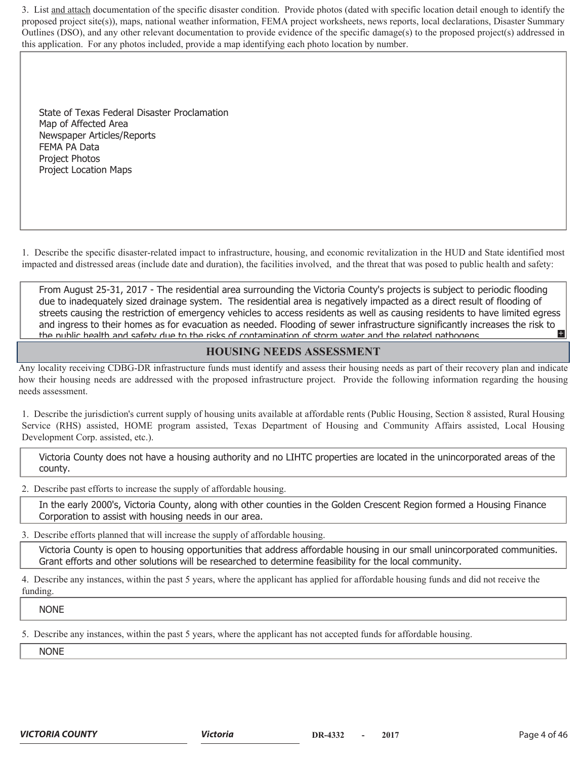3. List and attach documentation of the specific disaster condition. Provide photos (dated with specific location detail enough to identify the proposed project site(s)), maps, national weather information, FEMA project worksheets, news reports, local declarations, Disaster Summary Outlines (DSO), and any other relevant documentation to provide evidence of the specific damage(s) to the proposed project(s) addressed in this application. For any photos included, provide a map identifying each photo location by number.

State of Texas Federal Disaster Proclamation Map of Affected Area Newspaper Articles/Reports FEMA PA Data Project Photos Project Location Maps

1. Describe the specific disaster-related impact to infrastructure, housing, and economic revitalization in the HUD and State identified most impacted and distressed areas (include date and duration), the facilities involved, and the threat that was posed to public health and safety:

From August 25-31, 2017 - The residential area surrounding the Victoria County's projects is subject to periodic flooding due to inadequately sized drainage system. The residential area is negatively impacted as a direct result of flooding of streets causing the restriction of emergency vehicles to access residents as well as causing residents to have limited egress and ingress to their homes as for evacuation as needed. Flooding of sewer infrastructure significantly increases the risk to and safety due to the risks of contamination of storm water and the related pathogens. the public health and safety due to the risks of contamination of storm water and the related pathogens

### **HOUSING NEEDS ASSESSMENT**

Any locality receiving CDBG-DR infrastructure funds must identify and assess their housing needs as part of their recovery plan and indicate how their housing needs are addressed with the proposed infrastructure project. Provide the following information regarding the housing needs assessment.

1. Describe the jurisdiction's current supply of housing units available at affordable rents (Public Housing, Section 8 assisted, Rural Housing Service (RHS) assisted, HOME program assisted, Texas Department of Housing and Community Affairs assisted, Local Housing Development Corp. assisted, etc.).

Victoria County does not have a housing authority and no LIHTC properties are located in the unincorporated areas of the county.

2. Describe past efforts to increase the supply of affordable housing.

In the early 2000's, Victoria County, along with other counties in the Golden Crescent Region formed a Housing Finance Corporation to assist with housing needs in our area.

3. Describe efforts planned that will increase the supply of affordable housing.

Victoria County is open to housing opportunities that address affordable housing in our small unincorporated communities. Grant efforts and other solutions will be researched to determine feasibility for the local community.

4. Describe any instances, within the past 5 years, where the applicant has applied for affordable housing funds and did not receive the funding.

NONE

5. Describe any instances, within the past 5 years, where the applicant has not accepted funds for affordable housing.

NONE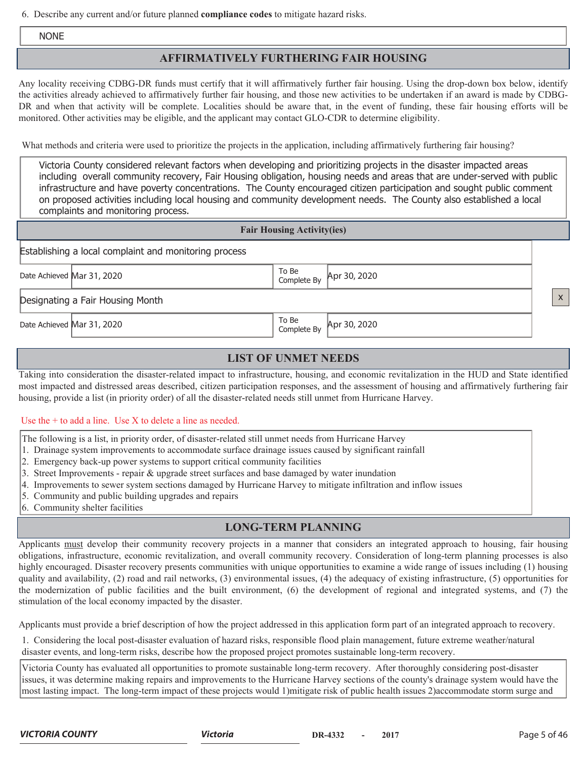6. Describe any current and/or future planned **compliance codes** to mitigate hazard risks.

NONE

## **AFFIRMATIVELY FURTHERING FAIR HOUSING**

Any locality receiving CDBG-DR funds must certify that it will affirmatively further fair housing. Using the drop-down box below, identify the activities already achieved to affirmatively further fair housing, and those new activities to be undertaken if an award is made by CDBG-DR and when that activity will be complete. Localities should be aware that, in the event of funding, these fair housing efforts will be monitored. Other activities may be eligible, and the applicant may contact GLO-CDR to determine eligibility.

What methods and criteria were used to prioritize the projects in the application, including affirmatively furthering fair housing?

Victoria County considered relevant factors when developing and prioritizing projects in the disaster impacted areas including overall community recovery, Fair Housing obligation, housing needs and areas that are under-served with public infrastructure and have poverty concentrations. The County encouraged citizen participation and sought public comment on proposed activities including local housing and community development needs. The County also established a local complaints and monitoring process.

#### **Fair Housing Activity(ies)**

Establishing a local complaint and monitoring process

Date Achieved Mar 31, 2020 To Be Complete By

Apr 30, 2020

Designating a Fair Housing Month

Date Achieved Mar 31, 2020 To Be Complete By

Apr 30, 2020

## **LIST OF UNMET NEEDS**

Taking into consideration the disaster-related impact to infrastructure, housing, and economic revitalization in the HUD and State identified most impacted and distressed areas described, citizen participation responses, and the assessment of housing and affirmatively furthering fair housing, provide a list (in priority order) of all the disaster-related needs still unmet from Hurricane Harvey.

#### Use the + to add a line. Use X to delete a line as needed.

- The following is a list, in priority order, of disaster-related still unmet needs from Hurricane Harvey
- 1. Drainage system improvements to accommodate surface drainage issues caused by significant rainfall
- 2. Emergency back-up power systems to support critical community facilities
- 3. Street Improvements repair & upgrade street surfaces and base damaged by water inundation
- 4. Improvements to sewer system sections damaged by Hurricane Harvey to mitigate infiltration and inflow issues
- 5. Community and public building upgrades and repairs
- 6. Community shelter facilities

## **LONG-TERM PLANNING**

Applicants must develop their community recovery projects in a manner that considers an integrated approach to housing, fair housing obligations, infrastructure, economic revitalization, and overall community recovery. Consideration of long-term planning processes is also highly encouraged. Disaster recovery presents communities with unique opportunities to examine a wide range of issues including (1) housing quality and availability, (2) road and rail networks, (3) environmental issues, (4) the adequacy of existing infrastructure, (5) opportunities for the modernization of public facilities and the built environment, (6) the development of regional and integrated systems, and (7) the stimulation of the local economy impacted by the disaster.

Applicants must provide a brief description of how the project addressed in this application form part of an integrated approach to recovery.

1. Considering the local post-disaster evaluation of hazard risks, responsible flood plain management, future extreme weather/natural disaster events, and long-term risks, describe how the proposed project promotes sustainable long-term recovery.

Victoria County has evaluated all opportunities to promote sustainable long-term recovery. After thoroughly considering post-disaster issues, it was determine making repairs and improvements to the Hurricane Harvey sections of the county's drainage system would have the most lasting impact. The long-term impact of these projects would 1)mitigate risk of public health issues 2)accommodate storm surge and

x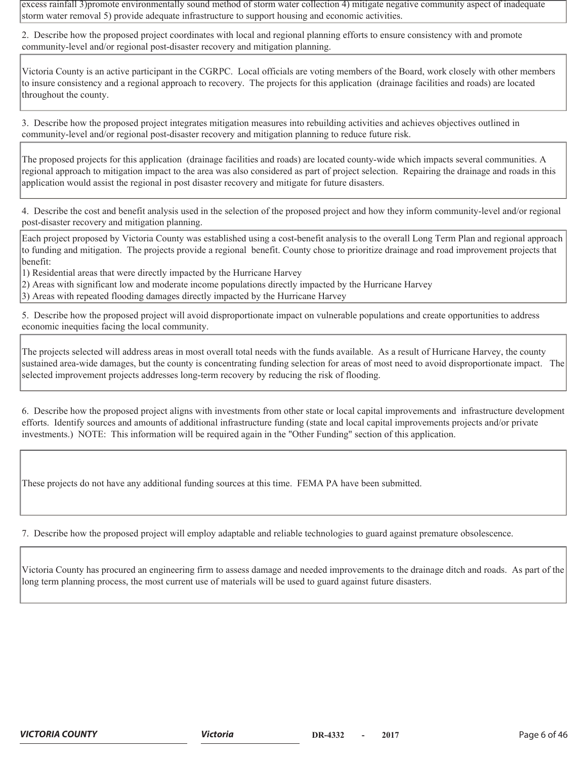excess rainfall 3)promote environmentally sound method of storm water collection 4) mitigate negative community aspect of inadequate storm water removal 5) provide adequate infrastructure to support housing and economic activities.

2. Describe how the proposed project coordinates with local and regional planning efforts to ensure consistency with and promote community-level and/or regional post-disaster recovery and mitigation planning.

Victoria County is an active participant in the CGRPC. Local officials are voting members of the Board, work closely with other members to insure consistency and a regional approach to recovery. The projects for this application (drainage facilities and roads) are located throughout the county.

3. Describe how the proposed project integrates mitigation measures into rebuilding activities and achieves objectives outlined in community-level and/or regional post-disaster recovery and mitigation planning to reduce future risk.

The proposed projects for this application (drainage facilities and roads) are located county-wide which impacts several communities. A regional approach to mitigation impact to the area was also considered as part of project selection. Repairing the drainage and roads in this application would assist the regional in post disaster recovery and mitigate for future disasters.

4. Describe the cost and benefit analysis used in the selection of the proposed project and how they inform community-level and/or regional post-disaster recovery and mitigation planning.

Each project proposed by Victoria County was established using a cost-benefit analysis to the overall Long Term Plan and regional approach to funding and mitigation. The projects provide a regional benefit. County chose to prioritize drainage and road improvement projects that benefit:

1) Residential areas that were directly impacted by the Hurricane Harvey

2) Areas with significant low and moderate income populations directly impacted by the Hurricane Harvey

3) Areas with repeated flooding damages directly impacted by the Hurricane Harvey

5. Describe how the proposed project will avoid disproportionate impact on vulnerable populations and create opportunities to address economic inequities facing the local community.

The projects selected will address areas in most overall total needs with the funds available. As a result of Hurricane Harvey, the county sustained area-wide damages, but the county is concentrating funding selection for areas of most need to avoid disproportionate impact. The selected improvement projects addresses long-term recovery by reducing the risk of flooding.

6. Describe how the proposed project aligns with investments from other state or local capital improvements and infrastructure development efforts. Identify sources and amounts of additional infrastructure funding (state and local capital improvements projects and/or private investments.) NOTE: This information will be required again in the "Other Funding" section of this application.

These projects do not have any additional funding sources at this time. FEMA PA have been submitted.

7. Describe how the proposed project will employ adaptable and reliable technologies to guard against premature obsolescence.

Victoria County has procured an engineering firm to assess damage and needed improvements to the drainage ditch and roads. As part of the long term planning process, the most current use of materials will be used to guard against future disasters.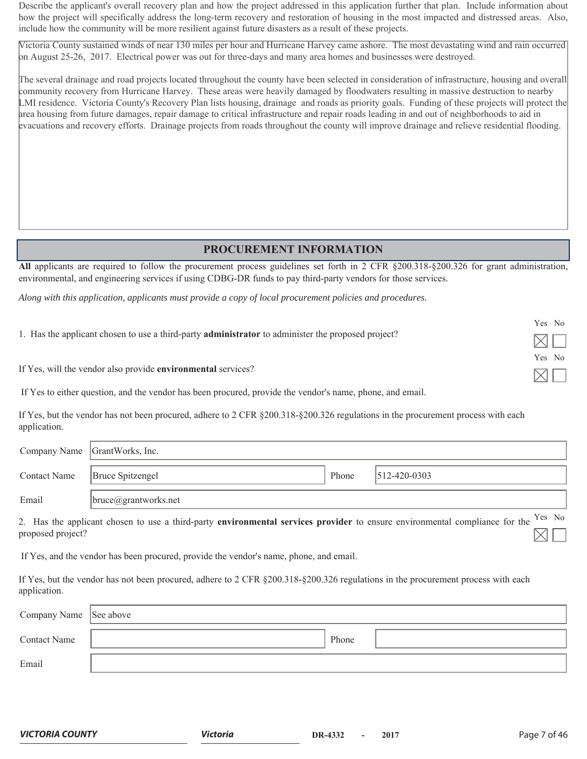Describe the applicant's overall recovery plan and how the project addressed in this application further that plan. Include information about how the project will specifically address the long-term recovery and restoration of housing in the most impacted and distressed areas. Also, include how the community will be more resilient against future disasters as a result of these projects.

Victoria County sustained winds of near 130 miles per hour and Hurricane Harvey came ashore. The most devastating wind and rain occurred on August 25-26, 2017. Electrical power was out for three-days and many area homes and businesses were destroyed.

The several drainage and road projects located throughout the county have been selected in consideration of infrastructure, housing and overall community recovery from Hurricane Harvey. These areas were heavily damaged by floodwaters resulting in massive destruction to nearby LMI residence. Victoria County's Recovery Plan lists housing, drainage and roads as priority goals. Funding of these projects will protect the area housing from future damages, repair damage to critical infrastructure and repair roads leading in and out of neighborhoods to aid in evacuations and recovery efforts. Drainage projects from roads throughout the county will improve drainage and relieve residential flooding.

## **PROCUREMENT INFORMATION**

**All** applicants are required to follow the procurement process guidelines set forth in 2 CFR §200.318-§200.326 for grant administration, environmental, and engineering services if using CDBG-DR funds to pay third-party vendors for those services.

*Along with this application, applicants must provide a copy of local procurement policies and procedures.*

|                                                                                                           | Yes No        |
|-----------------------------------------------------------------------------------------------------------|---------------|
| 1. Has the applicant chosen to use a third-party <b>administrator</b> to administer the proposed project? | $\times \Box$ |
|                                                                                                           | Yes No        |
| If Yes, will the vendor also provide environmental services?                                              | $\frac{1}{2}$ |

If Yes to either question, and the vendor has been procured, provide the vendor's name, phone, and email.

If Yes, but the vendor has not been procured, adhere to 2 CFR §200.318-§200.326 regulations in the procurement process with each application.

|                     | Company Name GrantWorks, Inc. |       |                    |
|---------------------|-------------------------------|-------|--------------------|
| <b>Contact Name</b> | <b>Bruce Spitzengel</b>       | Phone | $512 - 420 - 0303$ |
| Email               | $ $ bruce@grantworks.net      |       |                    |

2. Has the applicant chosen to use a third-party **environmental services provider** to ensure environmental compliance for the Yes No proposed project?

If Yes, and the vendor has been procured, provide the vendor's name, phone, and email.

If Yes, but the vendor has not been procured, adhere to 2 CFR §200.318-§200.326 regulations in the procurement process with each application.

| Company Name See above |       |  |
|------------------------|-------|--|
| <b>Contact Name</b>    | Phone |  |
| Email                  |       |  |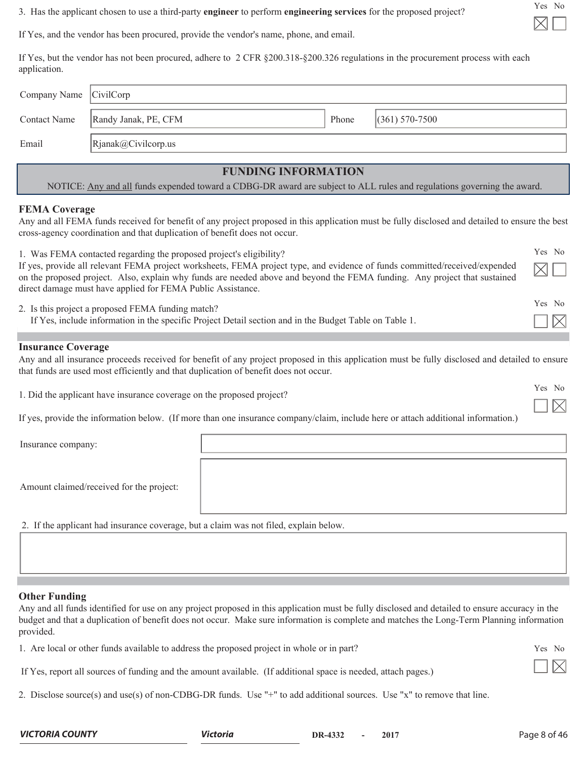3. Has the applicant chosen to use a third-party **engineer** to perform **engineering services** for the proposed project?

Yes No

If Yes, and the vendor has been procured, provide the vendor's name, phone, and email.

If Yes, but the vendor has not been procured, adhere to 2 CFR §200.318-§200.326 regulations in the procurement process with each application.

| Company Name CivilCorp |                      |       |                    |
|------------------------|----------------------|-------|--------------------|
| <b>Contact Name</b>    | Randy Janak, PE, CFM | Phone | $(361) 570 - 7500$ |
| Email                  | Rjanak@Civilcorp.us  |       |                    |

# **FUNDING INFORMATION**

NOTICE: Any and all funds expended toward a CDBG-DR award are subject to ALL rules and regulations governing the award.

### **FEMA Coverage**

Any and all FEMA funds received for benefit of any project proposed in this application must be fully disclosed and detailed to ensure the best cross-agency coordination and that duplication of benefit does not occur.

| 1. Was FEMA contacted regarding the proposed project's eligibility?                                                                                                                                                                                                                                                    | Yes No                |
|------------------------------------------------------------------------------------------------------------------------------------------------------------------------------------------------------------------------------------------------------------------------------------------------------------------------|-----------------------|
| If yes, provide all relevant FEMA project worksheets, FEMA project type, and evidence of funds committed/received/expended<br>on the proposed project. Also, explain why funds are needed above and beyond the FEMA funding. Any project that sustained<br>direct damage must have applied for FEMA Public Assistance. | $\boxtimes$ l         |
| 2. Is this project a proposed FEMA funding match?                                                                                                                                                                                                                                                                      | Yes No                |
| If Yes, include information in the specific Project Detail section and in the Budget Table on Table 1.                                                                                                                                                                                                                 | $\overline{ \times }$ |

#### **Insurance Coverage**

Any and all insurance proceeds received for benefit of any project proposed in this application must be fully disclosed and detailed to ensure that funds are used most efficiently and that duplication of benefit does not occur.

1. Did the applicant have insurance coverage on the proposed project?

| If yes, provide the information below. (If more than one insurance company/claim, include here or attach additional information.) |  |  |
|-----------------------------------------------------------------------------------------------------------------------------------|--|--|
|                                                                                                                                   |  |  |

Insurance company:

| Insurance company:                       |  |
|------------------------------------------|--|
| Amount claimed/received for the project: |  |

2. If the applicant had insurance coverage, but a claim was not filed, explain below.

#### **Other Funding**

Any and all funds identified for use on any project proposed in this application must be fully disclosed and detailed to ensure accuracy in the budget and that a duplication of benefit does not occur. Make sure information is complete and matches the Long-Term Planning information provided.

| 1. Are local or other funds available to address the proposed project in whole or in part? | Yes No |
|--------------------------------------------------------------------------------------------|--------|
|--------------------------------------------------------------------------------------------|--------|

If Yes, report all sources of funding and the amount available. (If additional space is needed, attach pages.)

2. Disclose source(s) and use(s) of non-CDBG-DR funds. Use "+" to add additional sources. Use "x" to remove that line.

**VICTORIA COUNTY Victoria Victoria DR-4332** - 2017 **Page 8 of 46** 

Yes No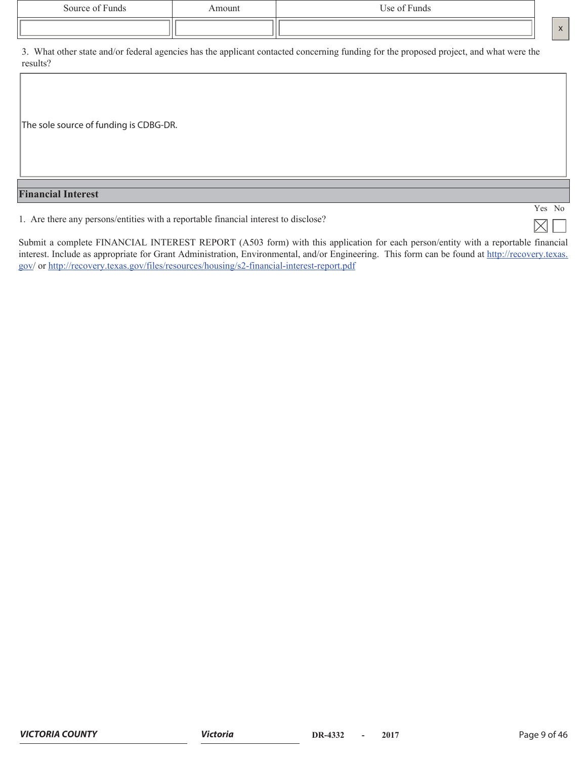| Source of Funds | smount | Use of Funds |                              |
|-----------------|--------|--------------|------------------------------|
|                 |        |              | $\mathbf{v}$<br>$\mathbf{A}$ |

3. What other state and/or federal agencies has the applicant contacted concerning funding for the proposed project, and what were the results?

The sole source of funding is CDBG-DR.

#### **Financial Interest**

1. Are there any persons/entities with a reportable financial interest to disclose?

Submit a complete FINANCIAL INTEREST REPORT (A503 form) with this application for each person/entity with a reportable financial interest. Include as appropriate for Grant Administration, Environmental, and/or Engineering. This form can be found at http://recovery.texas. gov/ or http://recovery.texas.gov/files/resources/housing/s2-financial-interest-report.pdf

Yes No

 $\times$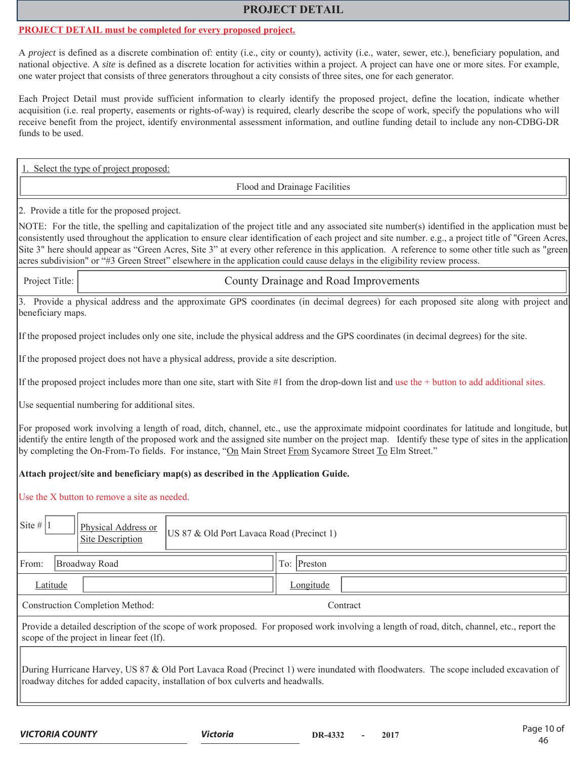#### **PROJECT DETAIL**

#### **PROJECT DETAIL must be completed for every proposed project.**

A *project* is defined as a discrete combination of: entity (i.e., city or county), activity (i.e., water, sewer, etc.), beneficiary population, and national objective. A *site* is defined as a discrete location for activities within a project. A project can have one or more sites. For example, one water project that consists of three generators throughout a city consists of three sites, one for each generator.

Each Project Detail must provide sufficient information to clearly identify the proposed project, define the location, indicate whether acquisition (i.e. real property, easements or rights-of-way) is required, clearly describe the scope of work, specify the populations who will receive benefit from the project, identify environmental assessment information, and outline funding detail to include any non-CDBG-DR funds to be used.

. Select the type of project proposed:

Flood and Drainage Facilities

2. Provide a title for the proposed project.

NOTE: For the title, the spelling and capitalization of the project title and any associated site number(s) identified in the application must be consistently used throughout the application to ensure clear identification of each project and site number. e.g., a project title of "Green Acres, Site 3" here should appear as "Green Acres, Site 3" at every other reference in this application. A reference to some other title such as "green acres subdivision" or "#3 Green Street" elsewhere in the application could cause delays in the eligibility review process.

Project Title: County Drainage and Road Improvements

3. Provide a physical address and the approximate GPS coordinates (in decimal degrees) for each proposed site along with project and beneficiary maps.

If the proposed project includes only one site, include the physical address and the GPS coordinates (in decimal degrees) for the site.

If the proposed project does not have a physical address, provide a site description.

If the proposed project includes more than one site, start with Site #1 from the drop-down list and use the + button to add additional sites.

Use sequential numbering for additional sites.

For proposed work involving a length of road, ditch, channel, etc., use the approximate midpoint coordinates for latitude and longitude, but identify the entire length of the proposed work and the assigned site number on the project map. Identify these type of sites in the application by completing the On-From-To fields. For instance, "On Main Street From Sycamore Street To Elm Street."

#### **Attach project/site and beneficiary map(s) as described in the Application Guide.**

Use the X button to remove a site as needed.

| Site #   1<br>Physical Address or<br><b>Site Description</b>                    | US 87 & Old Port Lavaca Road (Precinct 1)                                                                                                    |  |  |  |  |  |  |  |  |
|---------------------------------------------------------------------------------|----------------------------------------------------------------------------------------------------------------------------------------------|--|--|--|--|--|--|--|--|
| From:<br>Broadway Road                                                          | To: Preston                                                                                                                                  |  |  |  |  |  |  |  |  |
| Latitude                                                                        | Longitude                                                                                                                                    |  |  |  |  |  |  |  |  |
| <b>Construction Completion Method:</b>                                          | Contract                                                                                                                                     |  |  |  |  |  |  |  |  |
| scope of the project in linear feet (lf).                                       | Provide a detailed description of the scope of work proposed. For proposed work involving a length of road, ditch, channel, etc., report the |  |  |  |  |  |  |  |  |
| roadway ditches for added capacity, installation of box culverts and headwalls. | During Hurricane Harvey, US 87 & Old Port Lavaca Road (Precinct 1) were inundated with floodwaters. The scope included excavation of         |  |  |  |  |  |  |  |  |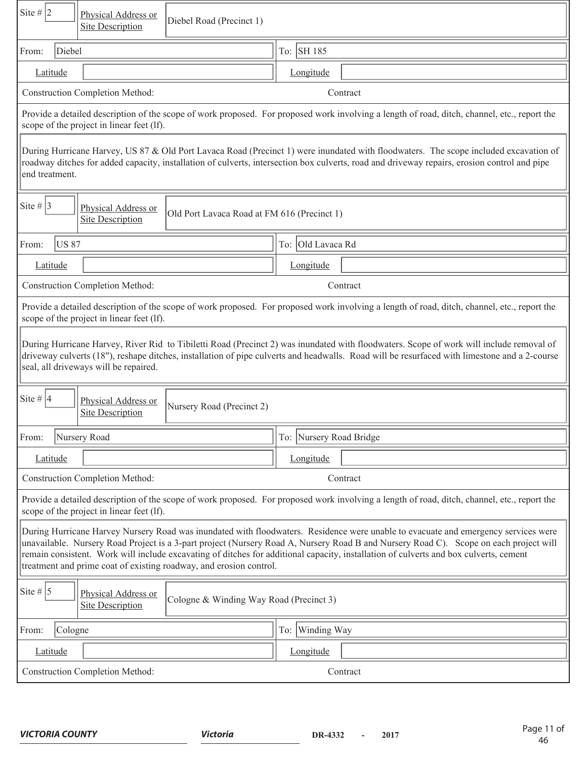| Site # $ 2 $<br>Physical Address or<br>Diebel Road (Precinct 1)<br><b>Site Description</b>                                                                                                                                                                                                                                                                                                                                                                                                 |                                                                                                                                                                                                                                                                                         |  |  |  |  |  |  |  |
|--------------------------------------------------------------------------------------------------------------------------------------------------------------------------------------------------------------------------------------------------------------------------------------------------------------------------------------------------------------------------------------------------------------------------------------------------------------------------------------------|-----------------------------------------------------------------------------------------------------------------------------------------------------------------------------------------------------------------------------------------------------------------------------------------|--|--|--|--|--|--|--|
| Diebel<br>From:                                                                                                                                                                                                                                                                                                                                                                                                                                                                            | To: SH 185                                                                                                                                                                                                                                                                              |  |  |  |  |  |  |  |
| Latitude                                                                                                                                                                                                                                                                                                                                                                                                                                                                                   | Longitude                                                                                                                                                                                                                                                                               |  |  |  |  |  |  |  |
| <b>Construction Completion Method:</b>                                                                                                                                                                                                                                                                                                                                                                                                                                                     | Contract                                                                                                                                                                                                                                                                                |  |  |  |  |  |  |  |
| Provide a detailed description of the scope of work proposed. For proposed work involving a length of road, ditch, channel, etc., report the<br>scope of the project in linear feet (lf).                                                                                                                                                                                                                                                                                                  |                                                                                                                                                                                                                                                                                         |  |  |  |  |  |  |  |
| end treatment.                                                                                                                                                                                                                                                                                                                                                                                                                                                                             | During Hurricane Harvey, US 87 & Old Port Lavaca Road (Precinct 1) were inundated with floodwaters. The scope included excavation of<br>roadway ditches for added capacity, installation of culverts, intersection box culverts, road and driveway repairs, erosion control and pipe    |  |  |  |  |  |  |  |
| Site # $ 3 $<br>Physical Address or<br>Old Port Lavaca Road at FM 616 (Precinct 1)<br><b>Site Description</b>                                                                                                                                                                                                                                                                                                                                                                              |                                                                                                                                                                                                                                                                                         |  |  |  |  |  |  |  |
| <b>US 87</b><br>From:                                                                                                                                                                                                                                                                                                                                                                                                                                                                      | To: Old Lavaca Rd                                                                                                                                                                                                                                                                       |  |  |  |  |  |  |  |
| Latitude                                                                                                                                                                                                                                                                                                                                                                                                                                                                                   | Longitude                                                                                                                                                                                                                                                                               |  |  |  |  |  |  |  |
| <b>Construction Completion Method:</b>                                                                                                                                                                                                                                                                                                                                                                                                                                                     | Contract                                                                                                                                                                                                                                                                                |  |  |  |  |  |  |  |
| scope of the project in linear feet (lf).                                                                                                                                                                                                                                                                                                                                                                                                                                                  | Provide a detailed description of the scope of work proposed. For proposed work involving a length of road, ditch, channel, etc., report the                                                                                                                                            |  |  |  |  |  |  |  |
| seal, all driveways will be repaired.                                                                                                                                                                                                                                                                                                                                                                                                                                                      | During Hurricane Harvey, River Rid to Tibiletti Road (Precinct 2) was inundated with floodwaters. Scope of work will include removal of<br>driveway culverts (18"), reshape ditches, installation of pipe culverts and headwalls. Road will be resurfaced with limestone and a 2-course |  |  |  |  |  |  |  |
| Site # $ 4$<br>Physical Address or<br>Nursery Road (Precinct 2)<br><b>Site Description</b>                                                                                                                                                                                                                                                                                                                                                                                                 |                                                                                                                                                                                                                                                                                         |  |  |  |  |  |  |  |
| From:<br>Nursery Road                                                                                                                                                                                                                                                                                                                                                                                                                                                                      | To: Nursery Road Bridge                                                                                                                                                                                                                                                                 |  |  |  |  |  |  |  |
| Latitude                                                                                                                                                                                                                                                                                                                                                                                                                                                                                   | Longitude                                                                                                                                                                                                                                                                               |  |  |  |  |  |  |  |
| <b>Construction Completion Method:</b>                                                                                                                                                                                                                                                                                                                                                                                                                                                     | Contract                                                                                                                                                                                                                                                                                |  |  |  |  |  |  |  |
| scope of the project in linear feet (lf).                                                                                                                                                                                                                                                                                                                                                                                                                                                  | Provide a detailed description of the scope of work proposed. For proposed work involving a length of road, ditch, channel, etc., report the                                                                                                                                            |  |  |  |  |  |  |  |
| During Hurricane Harvey Nursery Road was inundated with floodwaters. Residence were unable to evacuate and emergency services were<br>unavailable. Nursery Road Project is a 3-part project (Nursery Road A, Nursery Road B and Nursery Road C). Scope on each project will<br>remain consistent. Work will include excavating of ditches for additional capacity, installation of culverts and box culverts, cement<br>treatment and prime coat of existing roadway, and erosion control. |                                                                                                                                                                                                                                                                                         |  |  |  |  |  |  |  |
| Site # $\vert 5 \vert$<br>Physical Address or<br>Cologne & Winding Way Road (Precinct 3)<br><b>Site Description</b>                                                                                                                                                                                                                                                                                                                                                                        |                                                                                                                                                                                                                                                                                         |  |  |  |  |  |  |  |
| To: Winding Way<br>From:<br>Cologne                                                                                                                                                                                                                                                                                                                                                                                                                                                        |                                                                                                                                                                                                                                                                                         |  |  |  |  |  |  |  |
| Latitude                                                                                                                                                                                                                                                                                                                                                                                                                                                                                   | Longitude                                                                                                                                                                                                                                                                               |  |  |  |  |  |  |  |
| <b>Construction Completion Method:</b>                                                                                                                                                                                                                                                                                                                                                                                                                                                     | Contract                                                                                                                                                                                                                                                                                |  |  |  |  |  |  |  |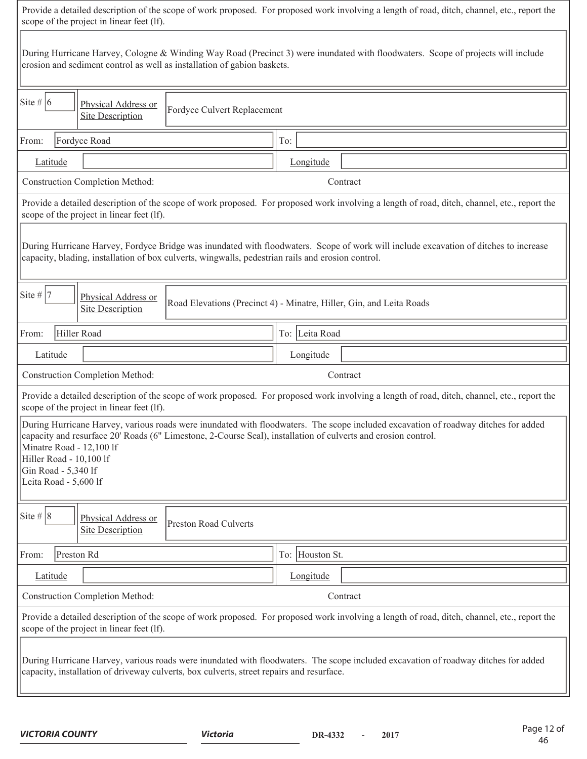| Provide a detailed description of the scope of work proposed. For proposed work involving a length of road, ditch, channel, etc., report the<br>scope of the project in linear feet (lf).                                      |                                                                                                                                              |  |  |  |  |  |  |  |  |
|--------------------------------------------------------------------------------------------------------------------------------------------------------------------------------------------------------------------------------|----------------------------------------------------------------------------------------------------------------------------------------------|--|--|--|--|--|--|--|--|
| During Hurricane Harvey, Cologne & Winding Way Road (Precinct 3) were inundated with floodwaters. Scope of projects will include<br>erosion and sediment control as well as installation of gabion baskets.                    |                                                                                                                                              |  |  |  |  |  |  |  |  |
| Site # $ 6 $<br>Physical Address or<br>Fordyce Culvert Replacement<br><b>Site Description</b>                                                                                                                                  |                                                                                                                                              |  |  |  |  |  |  |  |  |
| Fordyce Road<br>From:                                                                                                                                                                                                          | To:                                                                                                                                          |  |  |  |  |  |  |  |  |
| Latitude                                                                                                                                                                                                                       | Longitude                                                                                                                                    |  |  |  |  |  |  |  |  |
| <b>Construction Completion Method:</b>                                                                                                                                                                                         | Contract                                                                                                                                     |  |  |  |  |  |  |  |  |
| scope of the project in linear feet (lf).                                                                                                                                                                                      | Provide a detailed description of the scope of work proposed. For proposed work involving a length of road, ditch, channel, etc., report the |  |  |  |  |  |  |  |  |
| capacity, blading, installation of box culverts, wingwalls, pedestrian rails and erosion control.                                                                                                                              | During Hurricane Harvey, Fordyce Bridge was inundated with floodwaters. Scope of work will include excavation of ditches to increase         |  |  |  |  |  |  |  |  |
| Site #  7<br>Physical Address or<br><b>Site Description</b>                                                                                                                                                                    | Road Elevations (Precinct 4) - Minatre, Hiller, Gin, and Leita Roads                                                                         |  |  |  |  |  |  |  |  |
| Hiller Road<br>From:                                                                                                                                                                                                           | To: Leita Road                                                                                                                               |  |  |  |  |  |  |  |  |
| Latitude                                                                                                                                                                                                                       | Longitude                                                                                                                                    |  |  |  |  |  |  |  |  |
| <b>Construction Completion Method:</b>                                                                                                                                                                                         | Contract                                                                                                                                     |  |  |  |  |  |  |  |  |
| scope of the project in linear feet (lf).                                                                                                                                                                                      | Provide a detailed description of the scope of work proposed. For proposed work involving a length of road, ditch, channel, etc., report the |  |  |  |  |  |  |  |  |
| capacity and resurface 20' Roads (6" Limestone, 2-Course Seal), installation of culverts and erosion control.<br>Minatre Road - 12,100 lf<br>Hiller Road - 10,100 lf<br>Gin Road - 5,340 lf<br>Leita Road - 5,600 lf           | During Hurricane Harvey, various roads were inundated with floodwaters. The scope included excavation of roadway ditches for added           |  |  |  |  |  |  |  |  |
| Site # $ 8 $<br>Physical Address or<br>Preston Road Culverts<br><b>Site Description</b>                                                                                                                                        |                                                                                                                                              |  |  |  |  |  |  |  |  |
| Preston Rd<br>From:                                                                                                                                                                                                            | To: Houston St.                                                                                                                              |  |  |  |  |  |  |  |  |
| Latitude                                                                                                                                                                                                                       | Longitude                                                                                                                                    |  |  |  |  |  |  |  |  |
| <b>Construction Completion Method:</b>                                                                                                                                                                                         | Contract                                                                                                                                     |  |  |  |  |  |  |  |  |
| scope of the project in linear feet (lf).                                                                                                                                                                                      | Provide a detailed description of the scope of work proposed. For proposed work involving a length of road, ditch, channel, etc., report the |  |  |  |  |  |  |  |  |
| During Hurricane Harvey, various roads were inundated with floodwaters. The scope included excavation of roadway ditches for added<br>capacity, installation of driveway culverts, box culverts, street repairs and resurface. |                                                                                                                                              |  |  |  |  |  |  |  |  |
|                                                                                                                                                                                                                                |                                                                                                                                              |  |  |  |  |  |  |  |  |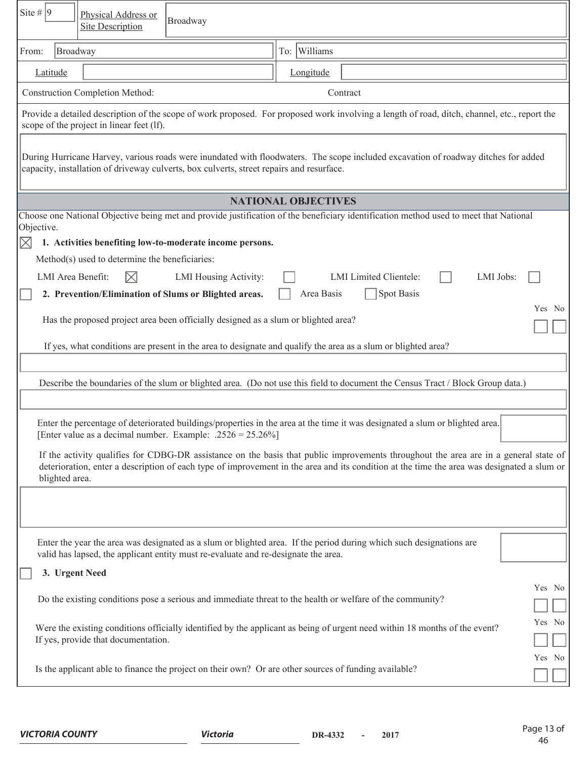| Site #  9<br>Physical Address or<br>Broadway<br><b>Site Description</b>                                                                                                                                                                                                                              |                            |                                            |        |  |  |  |
|------------------------------------------------------------------------------------------------------------------------------------------------------------------------------------------------------------------------------------------------------------------------------------------------------|----------------------------|--------------------------------------------|--------|--|--|--|
| Broadway<br>From:                                                                                                                                                                                                                                                                                    | To: Williams               |                                            |        |  |  |  |
| Latitude                                                                                                                                                                                                                                                                                             | Longitude                  |                                            |        |  |  |  |
| <b>Construction Completion Method:</b>                                                                                                                                                                                                                                                               | Contract                   |                                            |        |  |  |  |
| Provide a detailed description of the scope of work proposed. For proposed work involving a length of road, ditch, channel, etc., report the<br>scope of the project in linear feet (lf).                                                                                                            |                            |                                            |        |  |  |  |
| During Hurricane Harvey, various roads were inundated with floodwaters. The scope included excavation of roadway ditches for added<br>capacity, installation of driveway culverts, box culverts, street repairs and resurface.                                                                       |                            |                                            |        |  |  |  |
|                                                                                                                                                                                                                                                                                                      | <b>NATIONAL OBJECTIVES</b> |                                            |        |  |  |  |
| Choose one National Objective being met and provide justification of the beneficiary identification method used to meet that National<br>Objective.                                                                                                                                                  |                            |                                            |        |  |  |  |
| 1. Activities benefiting low-to-moderate income persons.<br>$\boxtimes$                                                                                                                                                                                                                              |                            |                                            |        |  |  |  |
| Method(s) used to determine the beneficiaries:                                                                                                                                                                                                                                                       |                            |                                            |        |  |  |  |
| $\boxtimes$<br>LMI Area Benefit:<br>LMI Housing Activity:                                                                                                                                                                                                                                            |                            | <b>LMI</b> Limited Clientele:<br>LMI Jobs: |        |  |  |  |
| 2. Prevention/Elimination of Slums or Blighted areas.                                                                                                                                                                                                                                                | Area Basis                 | Spot Basis                                 | Yes No |  |  |  |
| Has the proposed project area been officially designed as a slum or blighted area?                                                                                                                                                                                                                   |                            |                                            |        |  |  |  |
| If yes, what conditions are present in the area to designate and qualify the area as a slum or blighted area?                                                                                                                                                                                        |                            |                                            |        |  |  |  |
|                                                                                                                                                                                                                                                                                                      |                            |                                            |        |  |  |  |
| Describe the boundaries of the slum or blighted area. (Do not use this field to document the Census Tract / Block Group data.)                                                                                                                                                                       |                            |                                            |        |  |  |  |
|                                                                                                                                                                                                                                                                                                      |                            |                                            |        |  |  |  |
| Enter the percentage of deteriorated buildings/properties in the area at the time it was designated a slum or blighted area.<br>[Enter value as a decimal number. Example: .2526 = 25.26%]                                                                                                           |                            |                                            |        |  |  |  |
| If the activity qualifies for CDBG-DR assistance on the basis that public improvements throughout the area are in a general state of<br>deterioration, enter a description of each type of improvement in the area and its condition at the time the area was designated a slum or<br>blighted area. |                            |                                            |        |  |  |  |
|                                                                                                                                                                                                                                                                                                      |                            |                                            |        |  |  |  |
| Enter the year the area was designated as a slum or blighted area. If the period during which such designations are<br>valid has lapsed, the applicant entity must re-evaluate and re-designate the area.                                                                                            |                            |                                            |        |  |  |  |
| 3. Urgent Need                                                                                                                                                                                                                                                                                       |                            |                                            |        |  |  |  |
| Do the existing conditions pose a serious and immediate threat to the health or welfare of the community?                                                                                                                                                                                            |                            |                                            | Yes No |  |  |  |
| Were the existing conditions officially identified by the applicant as being of urgent need within 18 months of the event?<br>If yes, provide that documentation.                                                                                                                                    |                            |                                            | Yes No |  |  |  |
| Is the applicant able to finance the project on their own? Or are other sources of funding available?                                                                                                                                                                                                |                            |                                            | Yes No |  |  |  |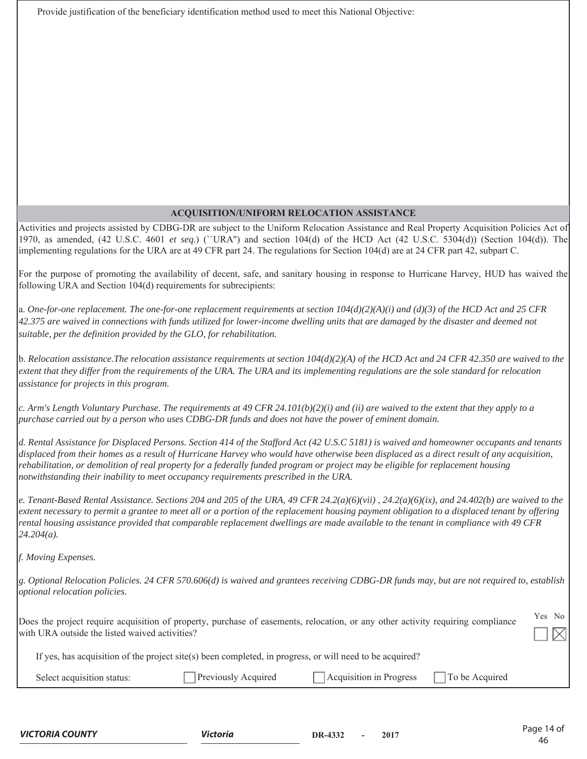Provide justification of the beneficiary identification method used to meet this National Objective:

### **ACQUISITION/UNIFORM RELOCATION ASSISTANCE**

Activities and projects assisted by CDBG-DR are subject to the Uniform Relocation Assistance and Real Property Acquisition Policies Act of 1970, as amended, (42 U.S.C. 4601 *et seq.*) (``URA'') and section 104(d) of the HCD Act (42 U.S.C. 5304(d)) (Section 104(d)). The implementing regulations for the URA are at 49 CFR part 24. The regulations for Section 104(d) are at 24 CFR part 42, subpart C.

For the purpose of promoting the availability of decent, safe, and sanitary housing in response to Hurricane Harvey, HUD has waived the following URA and Section 104(d) requirements for subrecipients:

a. *One-for-one replacement. The one-for-one replacement requirements at section 104(d)(2)(A)(i) and (d)(3) of the HCD Act and 25 CFR 42.375 are waived in connections with funds utilized for lower-income dwelling units that are damaged by the disaster and deemed not suitable, per the definition provided by the GLO, for rehabilitation.*

b. *Relocation assistance.The relocation assistance requirements at section 104(d)(2)(A) of the HCD Act and 24 CFR 42.350 are waived to the extent that they differ from the requirements of the URA. The URA and its implementing regulations are the sole standard for relocation assistance for projects in this program.*

*c. Arm's Length Voluntary Purchase. The requirements at 49 CFR 24.101(b)(2)(i) and (ii) are waived to the extent that they apply to a purchase carried out by a person who uses CDBG-DR funds and does not have the power of eminent domain.* 

*d. Rental Assistance for Displaced Persons. Section 414 of the Stafford Act (42 U.S.C 5181) is waived and homeowner occupants and tenants displaced from their homes as a result of Hurricane Harvey who would have otherwise been displaced as a direct result of any acquisition, rehabilitation, or demolition of real property for a federally funded program or project may be eligible for replacement housing notwithstanding their inability to meet occupancy requirements prescribed in the URA.* 

*e. Tenant-Based Rental Assistance. Sections 204 and 205 of the URA, 49 CFR 24.2(a)(6)(vii) , 24.2(a)(6)(ix), and 24.402(b) are waived to the extent necessary to permit a grantee to meet all or a portion of the replacement housing payment obligation to a displaced tenant by offering rental housing assistance provided that comparable replacement dwellings are made available to the tenant in compliance with 49 CFR 24.204(a).* 

*f. Moving Expenses.* 

*g. Optional Relocation Policies. 24 CFR 570.606(d) is waived and grantees receiving CDBG-DR funds may, but are not required to, establish optional relocation policies.*

| Does the project require acquisition of property, purchase of easements, relocation, or any other activity requiring compliance | Yes No |                 |  |
|---------------------------------------------------------------------------------------------------------------------------------|--------|-----------------|--|
| with URA outside the listed waived activities?                                                                                  |        | $\Box$ $\times$ |  |

| If yes, has acquisition of the project site(s) been completed, in progress, or will need to be acquired? |
|----------------------------------------------------------------------------------------------------------|
|----------------------------------------------------------------------------------------------------------|

| 91.4 | m<br><br>. | $\sim$ |
|------|------------|--------|
|      |            |        |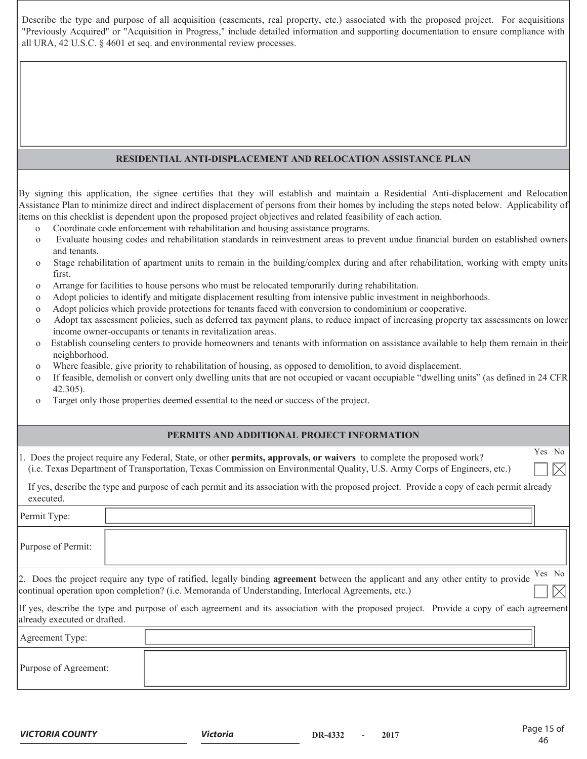Describe the type and purpose of all acquisition (easements, real property, etc.) associated with the proposed project. For acquisitions "Previously Acquired" or "Acquisition in Progress," include detailed information and supporting documentation to ensure compliance with all URA, 42 U.S.C. § 4601 et seq. and environmental review processes.

#### **RESIDENTIAL ANTI-DISPLACEMENT AND RELOCATION ASSISTANCE PLAN**

By signing this application, the signee certifies that they will establish and maintain a Residential Anti-displacement and Relocation Assistance Plan to minimize direct and indirect displacement of persons from their homes by including the steps noted below. Applicability of items on this checklist is dependent upon the proposed project objectives and related feasibility of each action.

- o Coordinate code enforcement with rehabilitation and housing assistance programs.
- o Evaluate housing codes and rehabilitation standards in reinvestment areas to prevent undue financial burden on established owners and tenants.
- o Stage rehabilitation of apartment units to remain in the building/complex during and after rehabilitation, working with empty units first.
- o Arrange for facilities to house persons who must be relocated temporarily during rehabilitation.
- o Adopt policies to identify and mitigate displacement resulting from intensive public investment in neighborhoods.
- o Adopt policies which provide protections for tenants faced with conversion to condominium or cooperative.
- o Adopt tax assessment policies, such as deferred tax payment plans, to reduce impact of increasing property tax assessments on lower income owner-occupants or tenants in revitalization areas.
- o Establish counseling centers to provide homeowners and tenants with information on assistance available to help them remain in their neighborhood.
- o Where feasible, give priority to rehabilitation of housing, as opposed to demolition, to avoid displacement.
- o If feasible, demolish or convert only dwelling units that are not occupied or vacant occupiable "dwelling units" (as defined in 24 CFR 42.305).
- o Target only those properties deemed essential to the need or success of the project.

#### **PERMITS AND ADDITIONAL PROJECT INFORMATION**

| 1. Does the project require any Federal, State, or other <b>permits, approvals, or waivers</b> to complete the proposed work? |
|-------------------------------------------------------------------------------------------------------------------------------|
| (i.e. Texas Department of Transportation, Texas Commission on Environmental Quality, U.S. Army Corps of Engineers, etc.)      |

 If yes, describe the type and purpose of each permit and its association with the proposed project. Provide a copy of each permit already executed.

| Permit Type:                 |                                                                                                                                                                                                                                                    |
|------------------------------|----------------------------------------------------------------------------------------------------------------------------------------------------------------------------------------------------------------------------------------------------|
| Purpose of Permit:           |                                                                                                                                                                                                                                                    |
|                              | Yes No<br>2. Does the project require any type of ratified, legally binding agreement between the applicant and any other entity to provide<br>continual operation upon completion? (i.e. Memoranda of Understanding, Interlocal Agreements, etc.) |
| already executed or drafted. | If yes, describe the type and purpose of each agreement and its association with the proposed project. Provide a copy of each agreement                                                                                                            |
| Agreement Type:              |                                                                                                                                                                                                                                                    |
| Purpose of Agreement:        |                                                                                                                                                                                                                                                    |

Yes No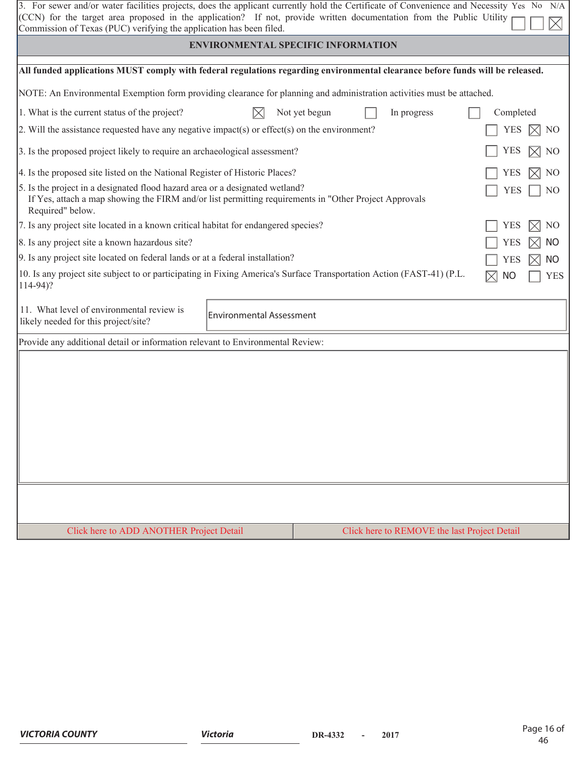| 3. For sewer and/or water facilities projects, does the applicant currently hold the Certificate of Convenience and Necessity Yes No N/A<br>(CCN) for the target area proposed in the application? If not, provide written documentation from the Public Utility<br>Commission of Texas (PUC) verifying the application has been filed. |                                 |               |  |             |                                              |  |  |  |
|-----------------------------------------------------------------------------------------------------------------------------------------------------------------------------------------------------------------------------------------------------------------------------------------------------------------------------------------|---------------------------------|---------------|--|-------------|----------------------------------------------|--|--|--|
| <b>ENVIRONMENTAL SPECIFIC INFORMATION</b>                                                                                                                                                                                                                                                                                               |                                 |               |  |             |                                              |  |  |  |
| All funded applications MUST comply with federal regulations regarding environmental clearance before funds will be released.                                                                                                                                                                                                           |                                 |               |  |             |                                              |  |  |  |
| NOTE: An Environmental Exemption form providing clearance for planning and administration activities must be attached.                                                                                                                                                                                                                  |                                 |               |  |             |                                              |  |  |  |
| 1. What is the current status of the project?                                                                                                                                                                                                                                                                                           | $\boxtimes$                     | Not yet begun |  | In progress | Completed                                    |  |  |  |
| 2. Will the assistance requested have any negative impact(s) or effect(s) on the environment?                                                                                                                                                                                                                                           |                                 |               |  |             | <b>YES</b><br>$\mathbb{M}$ No                |  |  |  |
| 3. Is the proposed project likely to require an archaeological assessment?                                                                                                                                                                                                                                                              |                                 |               |  |             | YES<br>NO<br>IXI                             |  |  |  |
| 4. Is the proposed site listed on the National Register of Historic Places?                                                                                                                                                                                                                                                             |                                 |               |  |             | YES<br>N <sub>O</sub>                        |  |  |  |
| 5. Is the project in a designated flood hazard area or a designated wetland?<br>If Yes, attach a map showing the FIRM and/or list permitting requirements in "Other Project Approvals"<br>Required" below.                                                                                                                              |                                 |               |  |             | <b>YES</b><br>N <sub>O</sub>                 |  |  |  |
| 7. Is any project site located in a known critical habitat for endangered species?                                                                                                                                                                                                                                                      |                                 |               |  |             | YES<br>N <sub>O</sub>                        |  |  |  |
| 8. Is any project site a known hazardous site?                                                                                                                                                                                                                                                                                          |                                 |               |  |             | <b>NO</b><br>YES                             |  |  |  |
| 9. Is any project site located on federal lands or at a federal installation?                                                                                                                                                                                                                                                           |                                 |               |  |             | <b>NO</b><br>YES                             |  |  |  |
| 10. Is any project site subject to or participating in Fixing America's Surface Transportation Action (FAST-41) (P.L.<br>$114-94$ ?                                                                                                                                                                                                     |                                 |               |  |             | <b>NO</b><br><b>YES</b>                      |  |  |  |
| 11. What level of environmental review is<br>likely needed for this project/site?                                                                                                                                                                                                                                                       | <b>Environmental Assessment</b> |               |  |             |                                              |  |  |  |
| Provide any additional detail or information relevant to Environmental Review:                                                                                                                                                                                                                                                          |                                 |               |  |             |                                              |  |  |  |
|                                                                                                                                                                                                                                                                                                                                         |                                 |               |  |             |                                              |  |  |  |
| Click here to ADD ANOTHER Project Detail                                                                                                                                                                                                                                                                                                |                                 |               |  |             | Click here to REMOVE the last Project Detail |  |  |  |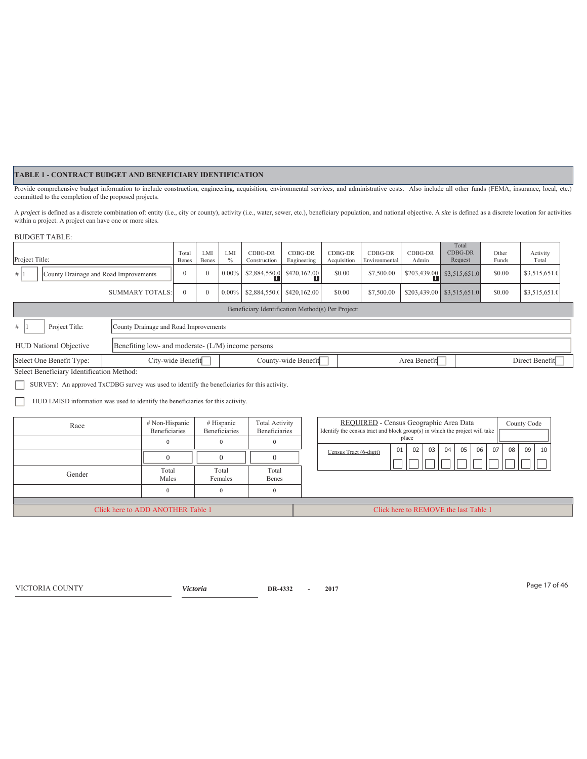#### **TABLE 1 - CONTRACT BUDGET AND BENEFICIARY IDENTIFICATION**

Provide comprehensive budget information to include construction, engineering, acquisition, environmental services, and administrative costs. Also include all other funds (FEMA, insurance, local, etc.) committed to the completion of the proposed projects.

A project is defined as a discrete combination of: entity (i.e., city or county), activity (i.e., water, sewer, etc.), beneficiary population, and national objective. A site is defined as a discrete location for activities within a project. A project can have one or more sites.

#### BUDGET TABLE:

| Project Title:                                                                                         | Tota<br>Benes                                      | LMI<br>Benes | LMI<br>$\%$ | CDBG-DR<br>Construction | CDBG-DR<br>Engineering      | CDBG-DR<br>Acquisition | CDBG-DR<br>Environmental | CDBG-DR<br>Admin | Total<br>CDBG-DR<br>Request  | Other<br>Funds | Activity<br>Total |
|--------------------------------------------------------------------------------------------------------|----------------------------------------------------|--------------|-------------|-------------------------|-----------------------------|------------------------|--------------------------|------------------|------------------------------|----------------|-------------------|
| #<br>County Drainage and Road Improvements                                                             | $\mathbf{0}$                                       |              | $0.00\%$    | \$2,884,550.0           | \$420,162.00                | \$0.00                 | \$7,500.00               |                  | $$203,439.00$ \$3,515,651.0  | \$0.00         | \$3,515,651.0     |
| <b>SUMMARY TOTALS:</b>                                                                                 | $\Omega$                                           | $\theta$     | $0.00\%$    |                         | $$2,884,550.0$ \$420,162.00 | \$0.00                 | \$7,500.00               |                  | $$203,439.00$ $$3,515,651.0$ | \$0.00         | \$3,515,651.0     |
|                                                                                                        | Beneficiary Identification Method(s) Per Project:  |              |             |                         |                             |                        |                          |                  |                              |                |                   |
| #<br>Project Title:                                                                                    | County Drainage and Road Improvements              |              |             |                         |                             |                        |                          |                  |                              |                |                   |
| <b>HUD National Objective</b>                                                                          | Benefiting low- and moderate- (L/M) income persons |              |             |                         |                             |                        |                          |                  |                              |                |                   |
| County-wide Benefit<br>City-wide Benefit<br>Direct Benefit<br>Select One Benefit Type:<br>Area Benefit |                                                    |              |             |                         |                             |                        |                          |                  |                              |                |                   |
| Select Beneficiary Identification Method:                                                              |                                                    |              |             |                         |                             |                        |                          |                  |                              |                |                   |

SURVEY: An approved TxCDBG survey was used to identify the beneficiaries for this activity.

 HUD LMISD information was used to identify the beneficiaries for this activity.  $\Box$ 

| Race                              | # Non-Hispanic<br>Beneficiaries | # Hispanic<br><b>Beneficiaries</b> | Total Activity<br>Beneficiaries       | REQUIRED - Census Geographic Area Data<br>County Code<br>Identify the census tract and block group(s) in which the project will take |
|-----------------------------------|---------------------------------|------------------------------------|---------------------------------------|--------------------------------------------------------------------------------------------------------------------------------------|
|                                   |                                 |                                    |                                       | place<br>0 <sub>3</sub><br>04<br>05<br>06<br>07<br>09<br>08 <sup>1</sup><br>02<br>01<br>10                                           |
|                                   |                                 |                                    |                                       | Census Tract (6-digit)                                                                                                               |
| Gender                            | Total<br>Males                  | Total<br>Females                   | Total<br>Benes                        |                                                                                                                                      |
|                                   |                                 |                                    |                                       |                                                                                                                                      |
| Click here to ADD ANOTHER Table 1 |                                 |                                    | Click here to REMOVE the last Table 1 |                                                                                                                                      |

Page 17 of 46 VICTORIA COUNTY *Victoria* **DR-4332 - 2017**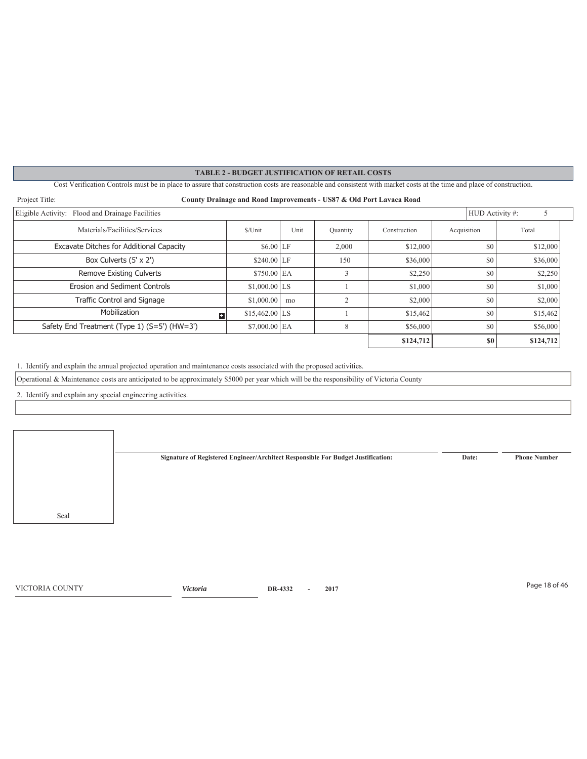Cost Verification Controls must be in place to assure that construction costs are reasonable and consistent with market costs at the time and place of construction.

| Project Title:<br>County Drainage and Road Improvements - US87 & Old Port Lavaca Road |                 |      |           |              |                 |           |
|---------------------------------------------------------------------------------------|-----------------|------|-----------|--------------|-----------------|-----------|
| Eligible Activity: Flood and Drainage Facilities                                      |                 |      |           |              | HUD Activity #: | 5         |
| Materials/Facilities/Services                                                         | \$/Unit         | Unit | Quantity  | Construction | Acquisition     | Total     |
| Excavate Ditches for Additional Capacity                                              | $$6.00$ LF      |      | 2,000     | \$12,000     | \$0             | \$12,000  |
| Box Culverts (5' x 2')                                                                | $$240.00$ LF    |      | 150       | \$36,000     | \$0             | \$36,000  |
| Remove Existing Culverts                                                              | $$750.00$ EA    |      |           | \$2,250      | \$0             | \$2,250   |
| Erosion and Sediment Controls                                                         | $$1,000.00$ LS  |      |           | \$1,000      | \$0             | \$1,000   |
| <b>Traffic Control and Signage</b>                                                    | \$1,000.00      | mo   | $\bigcap$ | \$2,000      | \$0             | \$2,000   |
| Mobilization<br>$+$                                                                   | $$15,462.00$ LS |      |           | \$15,462     | \$0             | \$15,462  |
| Safety End Treatment (Type 1) (S=5') (HW=3')                                          | $$7,000.00$ EA  |      | 8         | \$56,000     | \$0             | \$56,000  |
|                                                                                       |                 |      |           | \$124,712    | S <sub>0</sub>  | \$124,712 |

1. Identify and explain the annual projected operation and maintenance costs associated with the proposed activities.

Operational & Maintenance costs are anticipated to be approximately \$5000 per year which will be the responsibility of Victoria County

2. Identify and explain any special engineering activities.

**Signature of Registered Engineer/Architect Responsible For Budget Justification: Date: Phone Number**

Page 18 of 46 VICTORIA COUNTY *Victoria* **DR-4332 - 2017**

Seal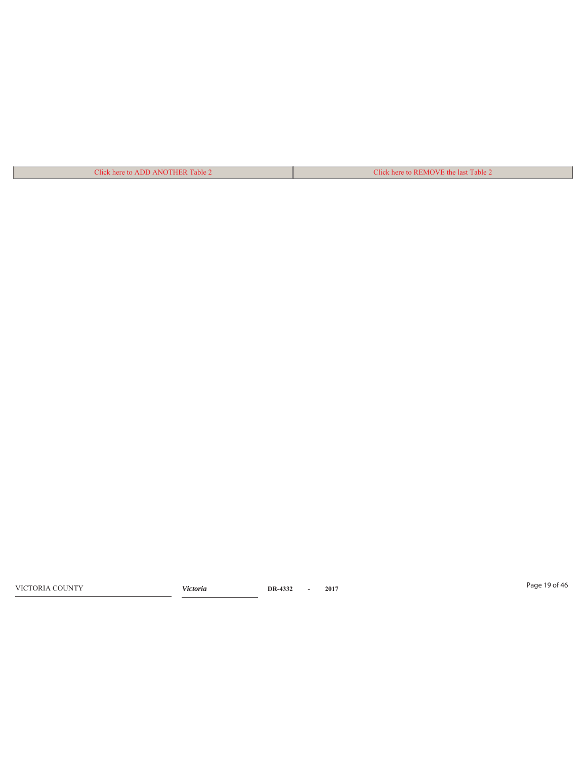Click here to ADD ANOTHER Table 2 Click here to REMOVE the last Table 2

Page 19 of 46 VICTORIA COUNTY *Victoria* **DR-4332 - 2017**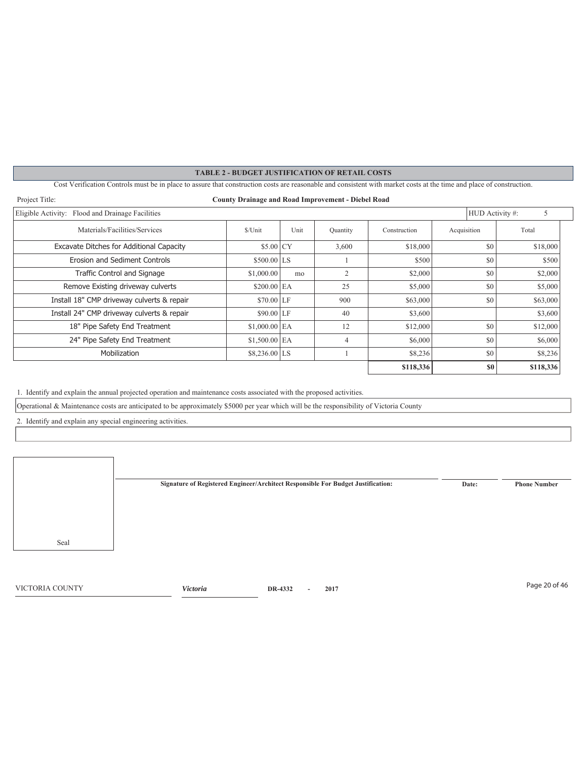Cost Verification Controls must be in place to assure that construction costs are reasonable and consistent with market costs at the time and place of construction.

| Project Title:<br><b>County Drainage and Road Improvement - Diebel Road</b> |                |      |          |              |                 |           |
|-----------------------------------------------------------------------------|----------------|------|----------|--------------|-----------------|-----------|
| Eligible Activity: Flood and Drainage Facilities                            |                |      |          |              | HUD Activity #: | 5         |
| Materials/Facilities/Services                                               | \$/Unit        | Unit | Quantity | Construction | Acquisition     | Total     |
| Excavate Ditches for Additional Capacity                                    | $$5.00\,$ CY   |      | 3,600    | \$18,000     | \$0             | \$18,000  |
| Erosion and Sediment Controls                                               | $$500.00$ LS   |      |          | \$500        | \$0             | \$500     |
| <b>Traffic Control and Signage</b>                                          | \$1,000.00     | mo   | 2        | \$2,000      | \$0             | \$2,000   |
| Remove Existing driveway culverts                                           | $$200.00$ EA   |      | 25       | \$5,000      | \$0             | \$5,000   |
| Install 18" CMP driveway culverts & repair                                  | $$70.00$ LF    |      | 900      | \$63,000     | \$0             | \$63,000  |
| Install 24" CMP driveway culverts & repair                                  | $$90.00$ LF    |      | 40       | \$3,600      |                 | \$3,600   |
| 18" Pipe Safety End Treatment                                               | $$1,000.00$ EA |      | 12       | \$12,000     | \$0             | \$12,000  |
| 24" Pipe Safety End Treatment                                               | $$1,500.00$ EA |      | 4        | \$6,000      | \$0             | \$6,000   |
| Mobilization                                                                | $$8,236.00$ LS |      |          | \$8,236      | \$0             | \$8,236   |
|                                                                             |                |      |          | \$118,336    | \$0             | \$118,336 |

1. Identify and explain the annual projected operation and maintenance costs associated with the proposed activities.

Operational & Maintenance costs are anticipated to be approximately \$5000 per year which will be the responsibility of Victoria County

2. Identify and explain any special engineering activities.

Seal **Signature of Registered Engineer/Architect Responsible For Budget Justification: Date: Phone Number**

Page 20 of 46 VICTORIA COUNTY *Victoria* **DR-4332 - 2017**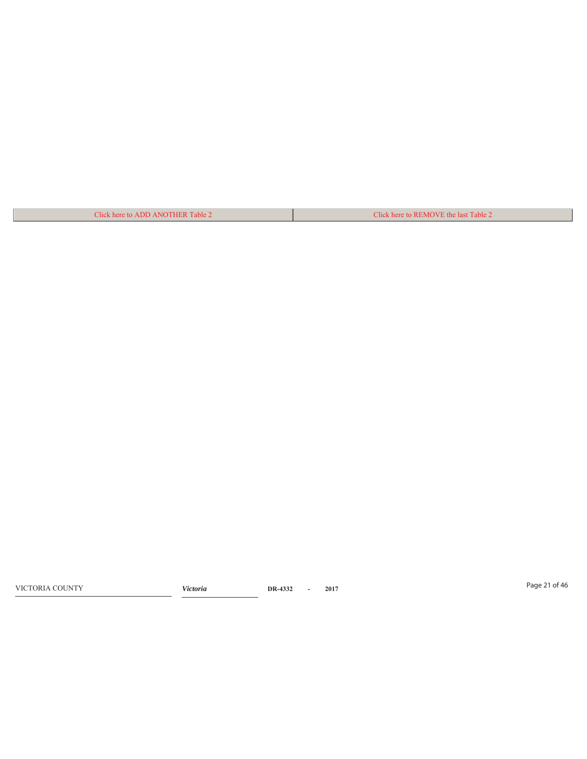| Click here to ADD ANOTHER Table 2 | Click here to REMOVE the last Table 2 |
|-----------------------------------|---------------------------------------|

Page 21 of 46 VICTORIA COUNTY *Victoria* **DR-4332 - 2017**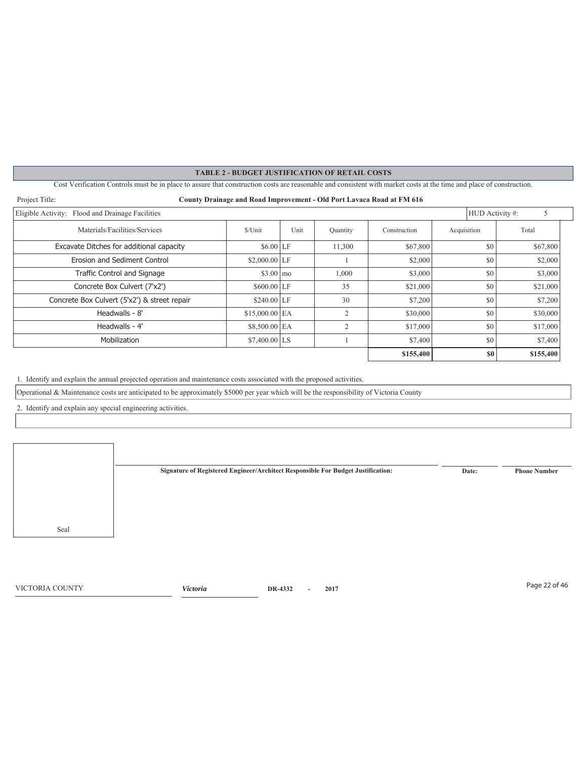Cost Verification Controls must be in place to assure that construction costs are reasonable and consistent with market costs at the time and place of construction.

| Project Title:<br>County Drainage and Road Improvement - Old Port Lavaca Road at FM 616 |                    |      |          |              |                 |           |
|-----------------------------------------------------------------------------------------|--------------------|------|----------|--------------|-----------------|-----------|
| Eligible Activity: Flood and Drainage Facilities                                        |                    |      |          |              | HUD Activity #: | 5         |
| Materials/Facilities/Services                                                           | \$/Unit            | Unit | Quantity | Construction | Acquisition     | Total     |
| Excavate Ditches for additional capacity                                                | $$6.00$ LF         |      | 11.300   | \$67,800     | \$0             | \$67,800  |
| Erosion and Sediment Control                                                            | $$2,000.00$ LF     |      |          | \$2,000      | \$0             | \$2,000   |
| Traffic Control and Signage                                                             | $$3.00 \text{ } m$ |      | 1,000    | \$3,000      | \$0             | \$3,000   |
| Concrete Box Culvert (7'x2')                                                            | $$600.00$ LF       |      | 35       | \$21,000     | \$0             | \$21,000  |
| Concrete Box Culvert (5'x2') & street repair                                            | $$240.00$ LF       |      | 30       | \$7,200      | \$0             | \$7,200   |
| Headwalls - 8'                                                                          | $$15,000.00$ EA    |      | 2        | \$30,000     | \$0             | \$30,000  |
| Headwalls - 4'                                                                          | $$8,500.00$ EA     |      | 2        | \$17,000     | \$0             | \$17,000  |
| Mobilization                                                                            | $$7,400.00$ LS     |      |          | \$7,400      | \$0             | \$7,400   |
|                                                                                         |                    |      |          | \$155,400    | S <sub>0</sub>  | \$155,400 |

1. Identify and explain the annual projected operation and maintenance costs associated with the proposed activities.

Operational & Maintenance costs are anticipated to be approximately \$5000 per year which will be the responsibility of Victoria County

2. Identify and explain any special engineering activities.

Seal **Signature of Registered Engineer/Architect Responsible For Budget Justification: Date: Phone Number**

Page 22 of 46 VICTORIA COUNTY *Victoria* **DR-4332 - 2017**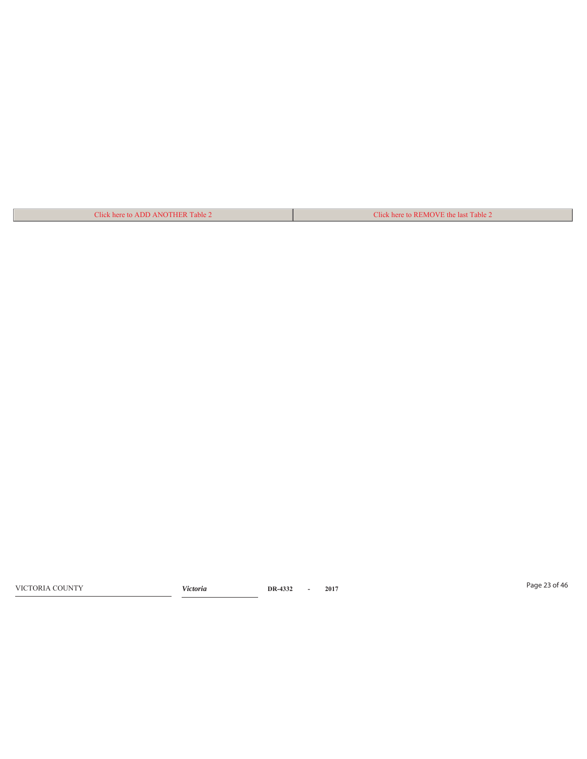| Click here to ADD ANOTHER Table 2 | Click here to REMOVE the last Table 2 |
|-----------------------------------|---------------------------------------|

Page 23 of 46 VICTORIA COUNTY *Victoria* **DR-4332 - 2017**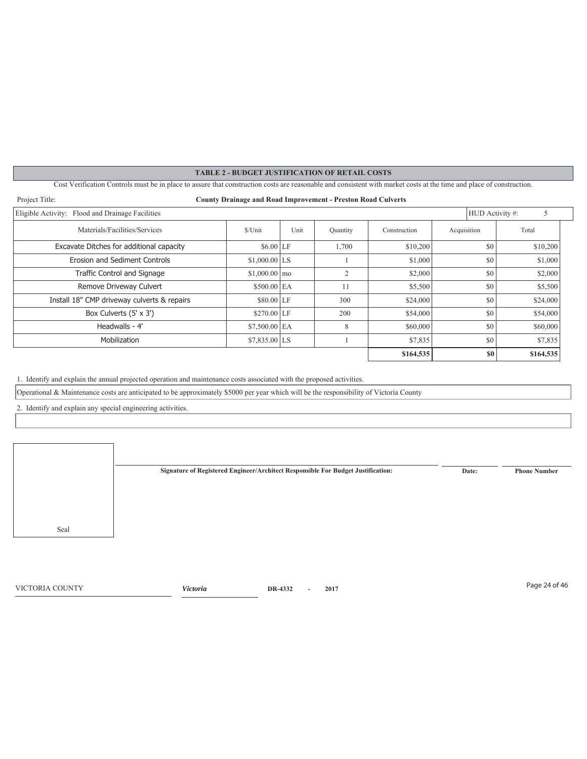Cost Verification Controls must be in place to assure that construction costs are reasonable and consistent with market costs at the time and place of construction.

| Project Title:<br><b>County Drainage and Road Improvement - Preston Road Culverts</b> |                |      |          |              |             |                             |
|---------------------------------------------------------------------------------------|----------------|------|----------|--------------|-------------|-----------------------------|
| Eligible Activity: Flood and Drainage Facilities                                      |                |      |          |              |             | HUD Activity #:<br>5        |
| Materials/Facilities/Services                                                         | \$/Unit        | Unit | Quantity | Construction | Acquisition | Total                       |
| Excavate Ditches for additional capacity                                              | $$6.00$ LF     |      | 1,700    | \$10,200     | \$0         | \$10,200                    |
| Erosion and Sediment Controls                                                         | $$1,000.00$ LS |      |          | \$1,000      | \$0         | \$1,000                     |
| <b>Traffic Control and Signage</b>                                                    | $$1,000.00$ mo |      | 2        | \$2,000      | \$0         | \$2,000                     |
| Remove Driveway Culvert                                                               | $$500.00$ EA   |      | 11       | \$5,500      | \$0         | \$5,500                     |
| Install 18" CMP driveway culverts & repairs                                           | $$80.00$ LF    |      | 300      | \$24,000     | \$0         | \$24,000                    |
| Box Culverts (5' x 3')                                                                | $$270.00$ LF   |      | 200      | \$54,000     | \$0         | \$54,000                    |
| Headwalls - 4'                                                                        | $$7,500.00$ EA |      | 8        | \$60,000     | \$0         | \$60,000                    |
| Mobilization                                                                          | $$7,835.00$ LS |      |          | \$7,835      | \$0         | \$7,835                     |
|                                                                                       |                |      |          | \$164,535    |             | S <sub>0</sub><br>\$164,535 |

1. Identify and explain the annual projected operation and maintenance costs associated with the proposed activities.

Operational & Maintenance costs are anticipated to be approximately \$5000 per year which will be the responsibility of Victoria County

2. Identify and explain any special engineering activities.

Seal **Signature of Registered Engineer/Architect Responsible For Budget Justification: Date: Phone Number**

Page 24 of 46 VICTORIA COUNTY *Victoria* **DR-4332 - 2017**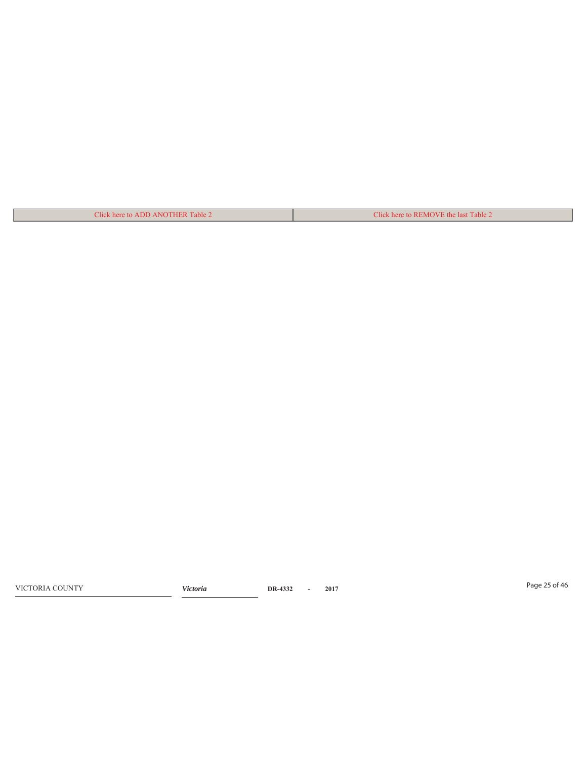| Click here to ADD ANOTHER Table 2 | Click here to REMOVE the last Table 2 |
|-----------------------------------|---------------------------------------|

Page 25 of 46 VICTORIA COUNTY *Victoria* **DR-4332 - 2017**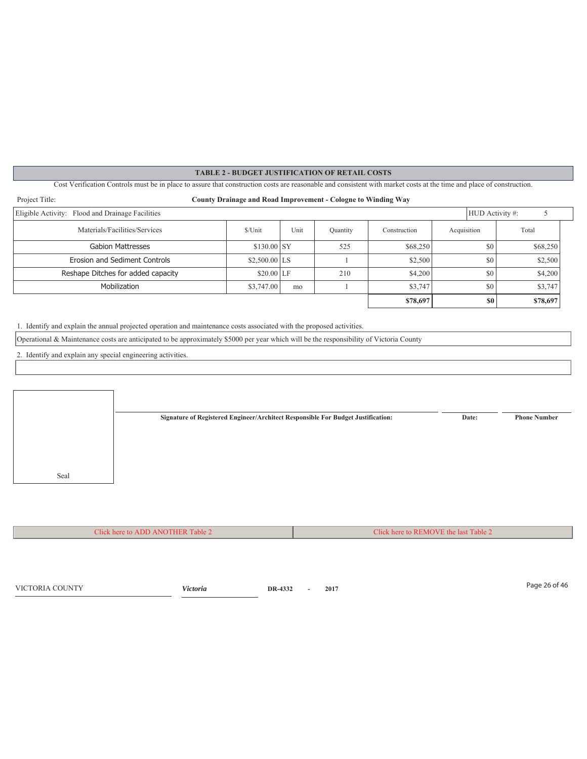Cost Verification Controls must be in place to assure that construction costs are reasonable and consistent with market costs at the time and place of construction.

| Project Title:<br><b>County Drainage and Road Improvement - Cologne to Winding Way</b> |                |      |          |              |             |                 |          |  |
|----------------------------------------------------------------------------------------|----------------|------|----------|--------------|-------------|-----------------|----------|--|
| Eligible Activity: Flood and Drainage Facilities                                       |                |      |          |              |             | HUD Activity #: |          |  |
| Materials/Facilities/Services                                                          | \$/Unit        | Unit | Quantity | Construction | Acquisition |                 | Total    |  |
| <b>Gabion Mattresses</b>                                                               | $$130.00$ SY   |      | 525      | \$68,250     |             | \$0             | \$68,250 |  |
| Erosion and Sediment Controls                                                          | $$2,500.00$ LS |      |          | \$2,500      |             | \$0             | \$2,500  |  |
| Reshape Ditches for added capacity                                                     | $$20.00$ LF    |      | 210      | \$4,200      |             | \$0             | \$4,200  |  |
| Mobilization                                                                           | \$3,747.00     | mo   |          | \$3,747      |             | \$0             | \$3,747  |  |
|                                                                                        |                |      |          | \$78,697     |             | \$0             | \$78,697 |  |

1. Identify and explain the annual projected operation and maintenance costs associated with the proposed activities.

Operational & Maintenance costs are anticipated to be approximately \$5000 per year which will be the responsibility of Victoria County

2. Identify and explain any special engineering activities.



Click here to ADD ANOTHER Table 2 Click here to REMOVE the last Table 2

Page 26 of 46 VICTORIA COUNTY *Victoria* **DR-4332 - 2017**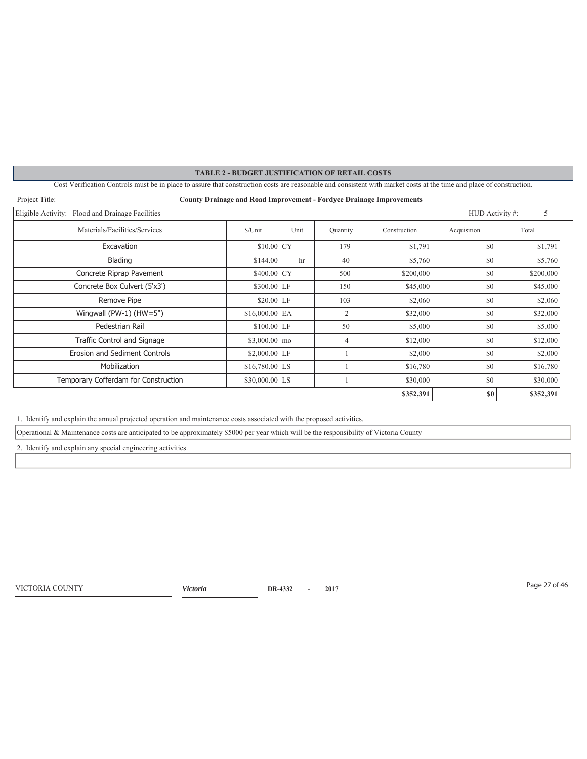Cost Verification Controls must be in place to assure that construction costs are reasonable and consistent with market costs at the time and place of construction.

| Project Title:                                   | <b>County Drainage and Road Improvement - Fordyce Drainage Improvements</b> |      |          |              |                 |           |
|--------------------------------------------------|-----------------------------------------------------------------------------|------|----------|--------------|-----------------|-----------|
| Eligible Activity: Flood and Drainage Facilities |                                                                             |      |          |              | HUD Activity #: | 5         |
| Materials/Facilities/Services                    | \$/Unit                                                                     | Unit | Quantity | Construction | Acquisition     | Total     |
| Excavation                                       | $$10.00$ CY                                                                 |      | 179      | \$1,791      | \$0             | \$1,791   |
| Blading                                          | \$144.00                                                                    | hr   | 40       | \$5,760      | \$0             | \$5,760   |
| Concrete Riprap Pavement                         | $$400.00$ CY                                                                |      | 500      | \$200,000    | \$0             | \$200,000 |
| Concrete Box Culvert (5'x3')                     | $$300.00$ LF                                                                |      | 150      | \$45,000     | \$0             | \$45,000  |
| Remove Pipe                                      | $$20.00$ LF                                                                 |      | 103      | \$2,060      | \$0             | \$2,060   |
| Wingwall (PW-1) (HW=5")                          | $$16,000.00$ EA                                                             |      | 2        | \$32,000     | \$0             | \$32,000  |
| Pedestrian Rail                                  | $$100.00$ LF                                                                |      | 50       | \$5,000      | \$0             | \$5,000   |
| Traffic Control and Signage                      | $$3,000.00 \, \text{mo}$                                                    |      | 4        | \$12,000     | \$0             | \$12,000  |
| Erosion and Sediment Controls                    | $$2,000.00$ LF                                                              |      |          | \$2,000      | \$0             | \$2,000   |
| Mobilization                                     | $$16,780.00$ LS                                                             |      |          | \$16,780     | \$0             | \$16,780  |
| Temporary Cofferdam for Construction             | $$30,000.00$ LS                                                             |      |          | \$30,000     | \$0             | \$30,000  |
|                                                  |                                                                             |      |          | \$352,391    | \$0             | \$352,391 |

1. Identify and explain the annual projected operation and maintenance costs associated with the proposed activities.

Operational & Maintenance costs are anticipated to be approximately \$5000 per year which will be the responsibility of Victoria County

2. Identify and explain any special engineering activities.

Page 27 of 46 VICTORIA COUNTY *Victoria* **DR-4332 - 2017**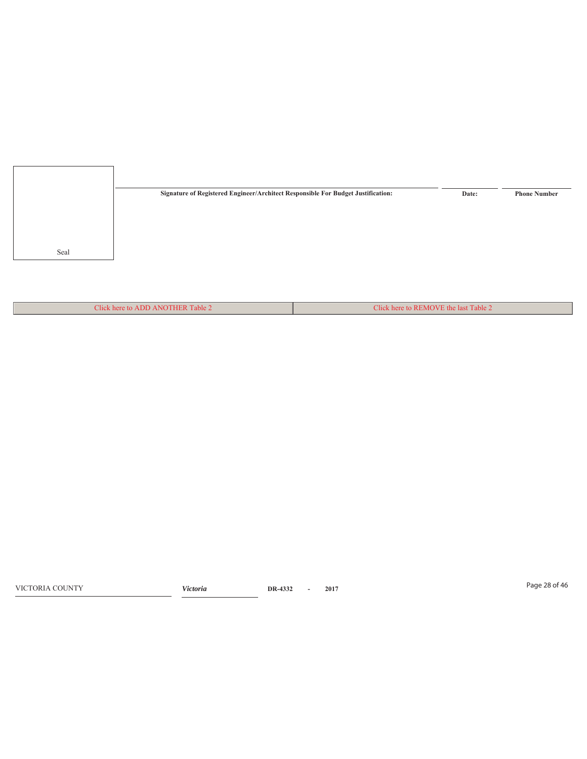

Click here to ADD ANOTHER Table 2 Click here to REMOVE the last Table 2

Page 28 of 46 VICTORIA COUNTY *Victoria* **DR-4332 - 2017**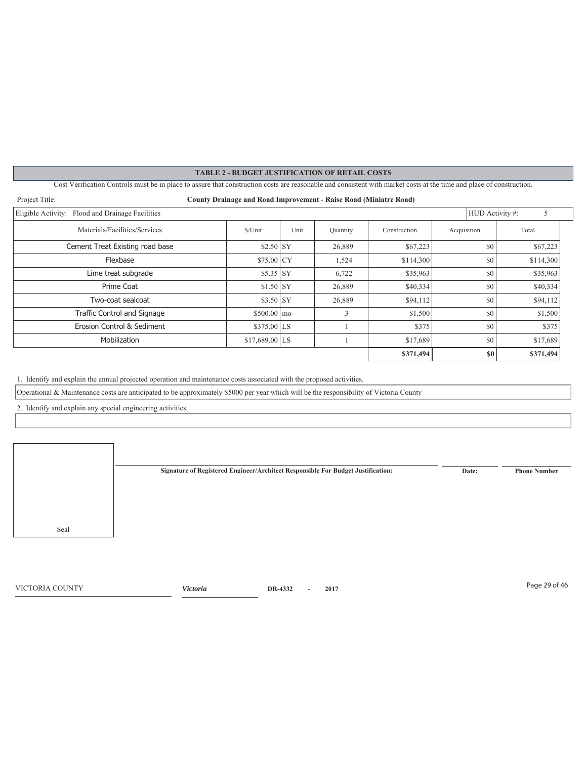Cost Verification Controls must be in place to assure that construction costs are reasonable and consistent with market costs at the time and place of construction.

| Project Title:<br><b>County Drainage and Road Improvement - Raise Road (Miniatre Road)</b> |                     |      |          |              |                 |           |
|--------------------------------------------------------------------------------------------|---------------------|------|----------|--------------|-----------------|-----------|
| Eligible Activity: Flood and Drainage Facilities                                           |                     |      |          |              | HUD Activity #: | 5         |
| Materials/Facilities/Services                                                              | \$/Unit             | Unit | Quantity | Construction | Acquisition     | Total     |
| Cement Treat Existing road base                                                            | $$2.50$ SY          |      | 26,889   | \$67,223     | \$0             | \$67,223  |
| Flexbase                                                                                   | $$75.00$ CY         |      | 1,524    | \$114,300    | \$0             | \$114,300 |
| Lime treat subgrade                                                                        | $$5.35$ SY          |      | 6,722    | \$35,963     | \$0             | \$35,963  |
| Prime Coat                                                                                 | $$1.50$ SY          |      | 26,889   | \$40,334     | \$0             | \$40,334  |
| Two-coat sealcoat                                                                          | $$3.50$ SY          |      | 26,889   | \$94,112     | \$0             | \$94,112  |
| <b>Traffic Control and Signage</b>                                                         | $$500.00 \text{ m}$ |      | 3        | \$1,500      | \$0             | \$1,500   |
| Erosion Control & Sediment                                                                 | $$375.00$ LS        |      |          | \$375        | \$0             | \$375     |
| Mobilization                                                                               | $$17,689.00$ LS     |      |          | \$17,689     | \$0             | \$17,689  |
|                                                                                            |                     |      |          | \$371,494    | S <sub>0</sub>  | \$371,494 |

1. Identify and explain the annual projected operation and maintenance costs associated with the proposed activities.

Operational & Maintenance costs are anticipated to be approximately \$5000 per year which will be the responsibility of Victoria County

2. Identify and explain any special engineering activities.

Seal **Signature of Registered Engineer/Architect Responsible For Budget Justification: Date: Phone Number**

Page 29 of 46 VICTORIA COUNTY *Victoria* **DR-4332 - 2017**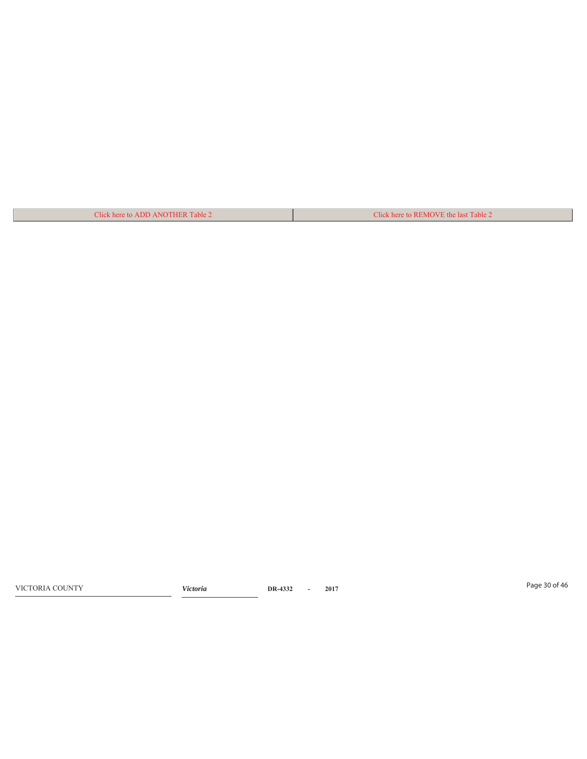| Click here to ADD ANOTHER Table 2 | Click here to REMOVE the last Table 2 |
|-----------------------------------|---------------------------------------|

Page 30 of 46 VICTORIA COUNTY *Victoria* **DR-4332 - 2017**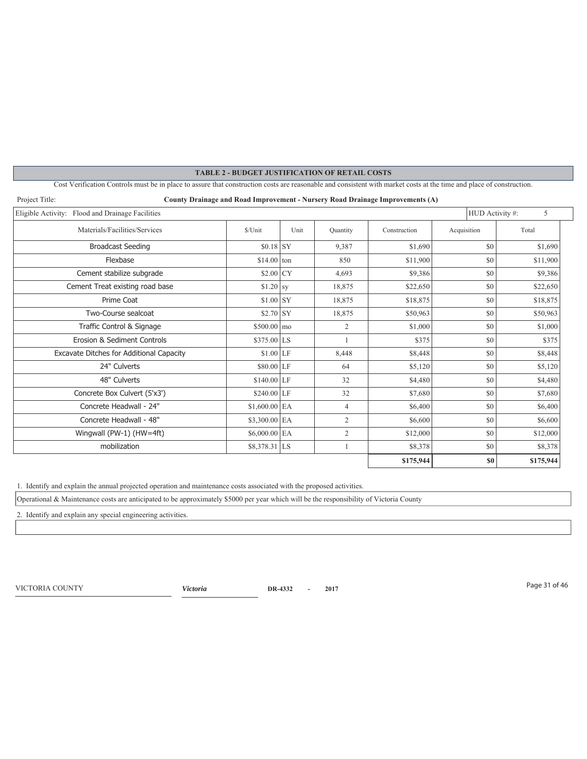Cost Verification Controls must be in place to assure that construction costs are reasonable and consistent with market costs at the time and place of construction.

| Project Title:<br>County Drainage and Road Improvement - Nursery Road Drainage Improvements (A) |                        |      |                |              |             |           |  |  |  |  |
|-------------------------------------------------------------------------------------------------|------------------------|------|----------------|--------------|-------------|-----------|--|--|--|--|
| Eligible Activity: Flood and Drainage Facilities                                                | HUD Activity #:        | 5    |                |              |             |           |  |  |  |  |
| Materials/Facilities/Services                                                                   | \$/Unit                | Unit | Quantity       | Construction | Acquisition | Total     |  |  |  |  |
| <b>Broadcast Seeding</b>                                                                        | $$0.18$ SY             |      | 9,387          | \$1,690      | \$0         | \$1,690   |  |  |  |  |
| Flexbase                                                                                        | $$14.00$ ton           |      | 850            | \$11,900     | \$0         | \$11,900  |  |  |  |  |
| Cement stabilize subgrade                                                                       | $$2.00$ CY             |      | 4.693          | \$9,386      | \$0         | \$9,386   |  |  |  |  |
| Cement Treat existing road base                                                                 | $$1.20$ sy             |      | 18,875         | \$22,650     | \$0         | \$22,650  |  |  |  |  |
| Prime Coat                                                                                      | $$1.00$ SY             |      | 18,875         | \$18,875     | \$0         | \$18,875  |  |  |  |  |
| Two-Course sealcoat                                                                             | $$2.70$ SY             |      | 18,875         | \$50,963     | \$0         | \$50,963  |  |  |  |  |
| Traffic Control & Signage                                                                       | $$500.00 \, \text{mo}$ |      | $\overline{2}$ | \$1,000      | \$0         | \$1,000   |  |  |  |  |
| Erosion & Sediment Controls                                                                     | $$375.00$ LS           |      |                | \$375        | \$0         | \$375     |  |  |  |  |
| Excavate Ditches for Additional Capacity                                                        | $$1.00$ LF             |      | 8,448          | \$8,448      | \$0         | \$8,448   |  |  |  |  |
| 24" Culverts                                                                                    | \$80.00 LF             |      | 64             | \$5,120      | \$0         | \$5,120   |  |  |  |  |
| 48" Culverts                                                                                    | $$140.00$ LF           |      | 32             | \$4,480      | \$0         | \$4,480   |  |  |  |  |
| Concrete Box Culvert (5'x3')                                                                    | $$240.00$ LF           |      | 32             | \$7,680      | \$0         | \$7,680   |  |  |  |  |
| Concrete Headwall - 24"                                                                         | $$1,600.00$ EA         |      | $\overline{4}$ | \$6,400      | \$0         | \$6,400   |  |  |  |  |
| Concrete Headwall - 48"                                                                         | $$3,300.00$ EA         |      | $\overline{2}$ | \$6,600      | \$0         | \$6,600   |  |  |  |  |
| Wingwall (PW-1) (HW=4ft)                                                                        | $$6,000.00$ EA         |      | $\overline{c}$ | \$12,000     | \$0         | \$12,000  |  |  |  |  |
| mobilization                                                                                    | $$8,378.31$ LS         |      |                | \$8,378      | \$0         | \$8,378   |  |  |  |  |
|                                                                                                 |                        |      |                | \$175,944    | \$0         | \$175,944 |  |  |  |  |

1. Identify and explain the annual projected operation and maintenance costs associated with the proposed activities.

Operational & Maintenance costs are anticipated to be approximately \$5000 per year which will be the responsibility of Victoria County

2. Identify and explain any special engineering activities.

Page 31 of 46 VICTORIA COUNTY *Victoria* **DR-4332 - 2017**

 $\overline{\phantom{a}}$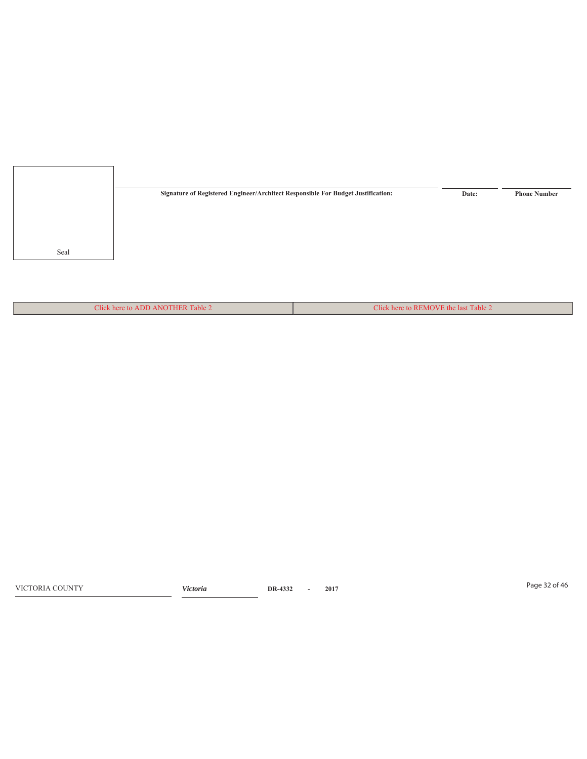

Click here to ADD ANOTHER Table 2 Click here to REMOVE the last Table 2

Page 32 of 46 VICTORIA COUNTY *Victoria* **DR-4332 - 2017**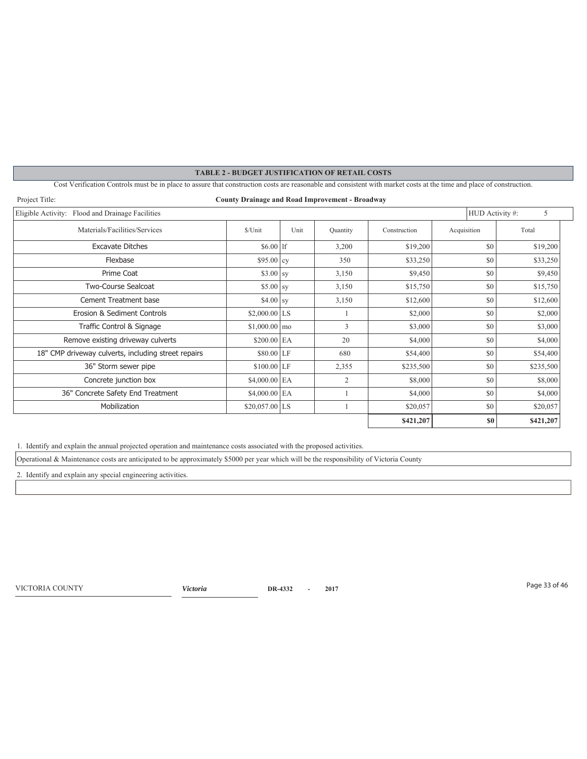# **TABLE 2 - BUDGET JUSTIFICATION OF RETAIL COSTS** Cost Verification Controls must be in place to assure that construction costs are reasonable and consistent with market costs at the time and place of construction. Project Title: **County Drainage and Road Improvement - Broadway**  Eligible Activity: Flood and Drainage Facilities 5 Materials/Facilities/Services 5/Unit Unit Quantity Construction Acquisition Total Excavate Ditches **Excavate Ditches** 519,200 **11**  $\frac{1}{3,200}$   $\frac{1}{3,200}$   $\frac{1}{3,200}$   $\frac{1}{30}$   $\frac{1}{30}$   $\frac{1}{30}$ Flexbase \$95.00 cy 350 \$33,250 \$0 \$33,250 Prime Coat \$3.00 sy 3,150 \$9,450 \$0 \$9,450 Two-Course Sealcoat \$5.00 sy 3,150 \$15,750 \$0 \$15,750 Cement Treatment base  $$4.00 \text{ sy} \quad 3,150 \quad $12,600$  \$12,600 \$0 \$12,600 Erosion & Sediment Controls  $$2,000.00$  LS  $1$   $$2,000$   $$80$   $$80$   $$2,000$ **Traffic Control & Signage**  $$1,000.00 \, \text{mo}$   $3$   $$3,000$   $$80$   $$3,000$   $$5,000$ Remove existing driveway culverts  $$200.00$   $\overline{EA}$   $$20$   $$4,000$   $$84,000$   $$80$   $$4,000$ 18" CMP driveway culverts, including street repairs \$80.00 LF 680 \$54,400 \$54,400 \$0 \$54,400 36" Storm sewer pipe  $$100.00$  LF  $$2,355$   $$8235,500$   $$80$   $$235,500$ Concrete junction box  $$4,000.00$  EA  $$2$   $$8,000$   $$80$   $$8,000$ 36" Concrete Safety End Treatment  $\begin{vmatrix} 36 & 1 & 1 & 34,000 & 84,000 \\ 1 & 1 & 1 & 34,000 \end{vmatrix}$  \$4,000 Mobilization  $$20,057.00$  LS  $1$   $$20,057$   $$0$   $$20,057$ **\$421,207 \$0 \$421,207**

1. Identify and explain the annual projected operation and maintenance costs associated with the proposed activities.

Operational & Maintenance costs are anticipated to be approximately \$5000 per year which will be the responsibility of Victoria County

2. Identify and explain any special engineering activities.

Page 33 of 46 VICTORIA COUNTY *Victoria* **DR-4332 - 2017**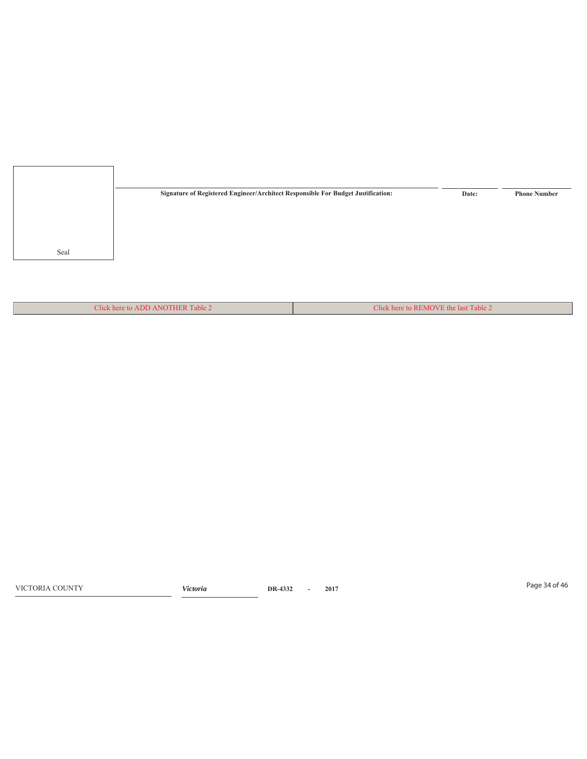

Click here to ADD ANOTHER Table 2 Click here to REMOVE the last Table 2

Page 34 of 46 VICTORIA COUNTY *Victoria* **DR-4332 - 2017**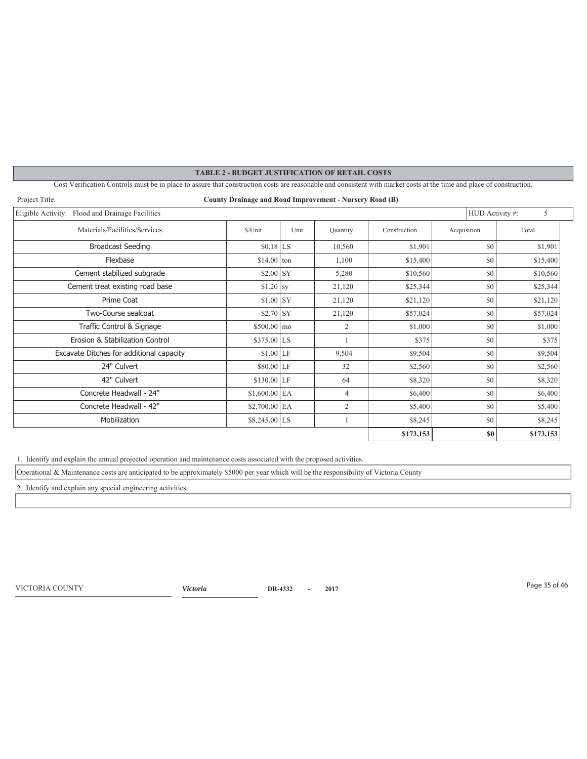| <b>TABLE 2 - BUDGET JUSTIFICATION OF RETAIL COSTS</b>                                                                                                                |                        |                 |                |              |             |                 |           |  |  |
|----------------------------------------------------------------------------------------------------------------------------------------------------------------------|------------------------|-----------------|----------------|--------------|-------------|-----------------|-----------|--|--|
| Cost Verification Controls must be in place to assure that construction costs are reasonable and consistent with market costs at the time and place of construction. |                        |                 |                |              |             |                 |           |  |  |
| Project Title:<br>County Drainage and Road Improvement - Nursery Road (B)                                                                                            |                        |                 |                |              |             |                 |           |  |  |
| Eligible Activity: Flood and Drainage Facilities                                                                                                                     |                        | HUD Activity #: | 5              |              |             |                 |           |  |  |
| Materials/Facilities/Services                                                                                                                                        | \$/Unit                | Unit            | Quantity       | Construction | Acquisition |                 | Total     |  |  |
| <b>Broadcast Seeding</b>                                                                                                                                             | $$0.18$ <sub>LS</sub>  |                 | 10,560         | \$1,901      |             | \$0             | \$1,901   |  |  |
| Flexbase                                                                                                                                                             | $$14.00$ ton           |                 | 1.100          | \$15,400     |             | \$0             | \$15,400  |  |  |
| Cement stabilized subgrade                                                                                                                                           | $$2.00$ SY             |                 | 5.280          | \$10,560     |             | \$0             | \$10,560  |  |  |
| Cement treat existing road base                                                                                                                                      | $$1.20$ sy             |                 | 21.120         | \$25,344     |             | \$0             | \$25,344  |  |  |
| Prime Coat                                                                                                                                                           | $$1.00$ SY             |                 | 21.120         | \$21,120     |             | \$0             | \$21,120  |  |  |
| Two-Course sealcoat                                                                                                                                                  | $$2.70$ SY             |                 | 21,120         | \$57,024     |             | \$0<br>\$57,024 |           |  |  |
| Traffic Control & Signage                                                                                                                                            | $$500.00 \, \text{mo}$ |                 | $\overline{2}$ | \$1,000      |             | \$0<br>\$1,000  |           |  |  |
| Erosion & Stabilization Control                                                                                                                                      | $$375.00$ LS           |                 |                | \$375        |             | \$0             | \$375     |  |  |
| Excavate Ditches for additional capacity                                                                                                                             | $$1.00$ LF             |                 | 9,504          | \$9,504      |             | \$0             | \$9,504   |  |  |
| 24" Culvert                                                                                                                                                          | $$80.00$ LF            |                 | 32             | \$2,560      |             | \$0             | \$2,560   |  |  |
| 42" Culvert                                                                                                                                                          | $$130.00$ LF           |                 | 64             | \$8,320      |             | \$0             | \$8,320   |  |  |
| Concrete Headwall - 24"                                                                                                                                              | $$1,600.00$ EA         |                 | $\overline{4}$ | \$6,400      |             | \$0             | \$6,400   |  |  |
| Concrete Headwall - 42"                                                                                                                                              | $$2,700.00$ EA         |                 | 2              | \$5,400      |             | \$0             | \$5,400   |  |  |
| Mobilization                                                                                                                                                         | $$8,245.00$ LS         |                 | 1              | \$8,245      |             | \$0             | \$8,245   |  |  |
|                                                                                                                                                                      |                        |                 |                | \$173,153    |             | <b>SO</b>       | \$173,153 |  |  |

1. Identify and explain the annual projected operation and maintenance costs associated with the proposed activities.

Operational & Maintenance costs are anticipated to be approximately \$5000 per year which will be the responsibility of Victoria County

2. Identify and explain any special engineering activities.

Page 35 of 46 VICTORIA COUNTY *Victoria* **DR-4332 - 2017**

 $\overline{\phantom{a}}$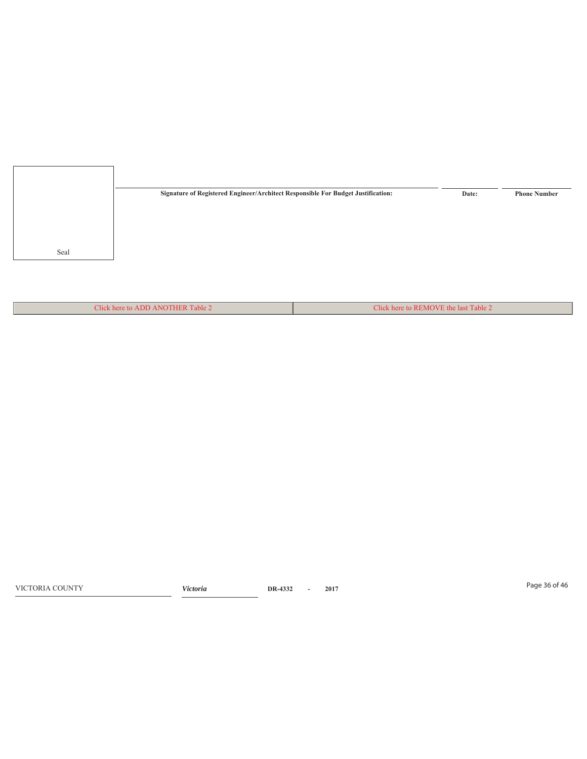

Click here to ADD ANOTHER Table 2 Click here to REMOVE the last Table 2

Page 36 of 46 VICTORIA COUNTY *Victoria* **DR-4332 - 2017**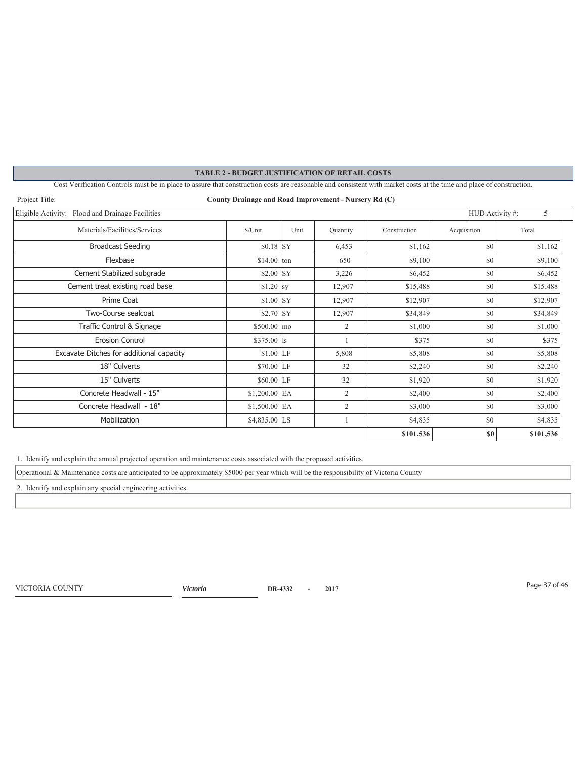| <b>TABLE 2 - BUDGET JUSTIFICATION OF RETAIL COSTS</b>                                                                                                                |                        |      |                |              |             |           |  |  |  |
|----------------------------------------------------------------------------------------------------------------------------------------------------------------------|------------------------|------|----------------|--------------|-------------|-----------|--|--|--|
| Cost Verification Controls must be in place to assure that construction costs are reasonable and consistent with market costs at the time and place of construction. |                        |      |                |              |             |           |  |  |  |
| Project Title:<br>County Drainage and Road Improvement - Nursery Rd (C)                                                                                              |                        |      |                |              |             |           |  |  |  |
| Eligible Activity: Flood and Drainage Facilities<br>HUD Activity #:                                                                                                  |                        |      |                |              |             |           |  |  |  |
| Materials/Facilities/Services                                                                                                                                        | \$/Unit                | Unit | Quantity       | Construction | Acquisition | Total     |  |  |  |
| <b>Broadcast Seeding</b>                                                                                                                                             | $$0.18$ SY             |      | 6,453          | \$1,162      | \$0         | \$1,162   |  |  |  |
| Flexbase                                                                                                                                                             | $$14.00$ ton           |      | 650            | \$9,100      | \$0         | \$9,100   |  |  |  |
| Cement Stabilized subgrade                                                                                                                                           | $$2.00$ SY             |      | 3,226          | \$6,452      | \$0         | \$6,452   |  |  |  |
| Cement treat existing road base                                                                                                                                      | $$1.20$ sy             |      | 12,907         | \$15,488     | \$0         | \$15,488  |  |  |  |
| Prime Coat                                                                                                                                                           | $$1.00$ SY             |      | 12,907         | \$12,907     | \$0         | \$12,907  |  |  |  |
| Two-Course sealcoat                                                                                                                                                  | $$2.70$ SY             |      | 12,907         | \$34,849     | \$0         | \$34,849  |  |  |  |
| Traffic Control & Signage                                                                                                                                            | $$500.00 \, \text{mo}$ |      | $\overline{2}$ | \$1,000      | \$0         | \$1,000   |  |  |  |
| <b>Erosion Control</b>                                                                                                                                               | $$375.00$ s            |      |                | \$375        | \$0         | \$375     |  |  |  |
| Excavate Ditches for additional capacity                                                                                                                             | $$1.00$ LF             |      | 5,808          | \$5,808      | \$0         | \$5,808   |  |  |  |
| 18" Culverts                                                                                                                                                         | $$70.00$ LF            |      | 32             | \$2,240      | \$0         | \$2,240   |  |  |  |
| 15" Culverts                                                                                                                                                         | $$60.00$ LF            |      | 32             | \$1,920      | \$0         | \$1,920   |  |  |  |
| Concrete Headwall - 15"                                                                                                                                              | $$1,200.00$ EA         |      | 2              | \$2,400      | \$0         | \$2,400   |  |  |  |
| Concrete Headwall - 18"                                                                                                                                              | \$1,500.00 EA          |      | $\overline{c}$ | \$3,000      | \$0         | \$3,000   |  |  |  |
| Mobilization                                                                                                                                                         | $$4,835.00$ LS         |      |                | \$4,835      | \$0         | \$4,835   |  |  |  |
|                                                                                                                                                                      |                        |      |                | \$101,536    | \$0         | \$101,536 |  |  |  |

1. Identify and explain the annual projected operation and maintenance costs associated with the proposed activities.

Operational & Maintenance costs are anticipated to be approximately \$5000 per year which will be the responsibility of Victoria County

2. Identify and explain any special engineering activities.

Page 37 of 46 VICTORIA COUNTY *Victoria* **DR-4332 - 2017**

 $\overline{\phantom{a}}$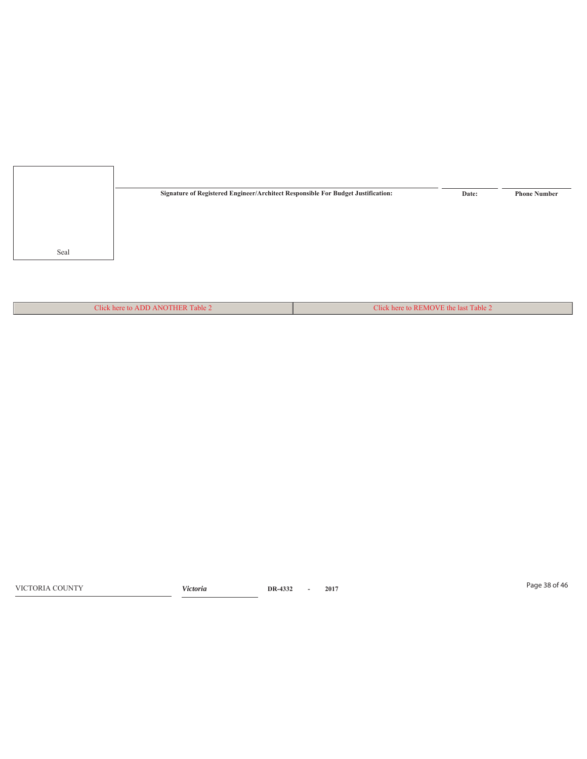

Click here to ADD ANOTHER Table 2 Click here to REMOVE the last Table 2

Page 38 of 46 VICTORIA COUNTY *Victoria* **DR-4332 - 2017**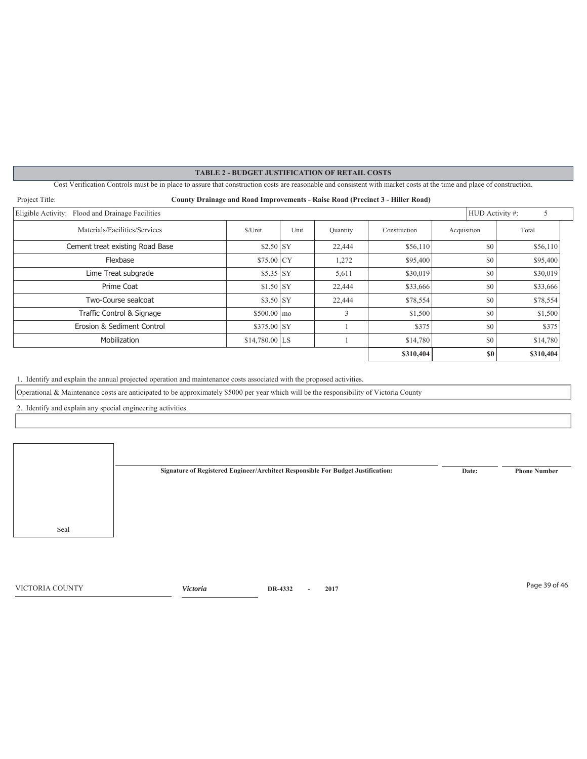Cost Verification Controls must be in place to assure that construction costs are reasonable and consistent with market costs at the time and place of construction.

| Project Title:<br><b>County Drainage and Road Improvements - Raise Road (Precinct 3 - Hiller Road)</b> |                     |      |          |              |             |           |  |  |  |  |
|--------------------------------------------------------------------------------------------------------|---------------------|------|----------|--------------|-------------|-----------|--|--|--|--|
| Eligible Activity: Flood and Drainage Facilities<br>HUD Activity #:                                    |                     |      |          |              |             |           |  |  |  |  |
| Materials/Facilities/Services                                                                          | \$/Unit             | Unit | Quantity | Construction | Acquisition | Total     |  |  |  |  |
| Cement treat existing Road Base                                                                        | $$2.50$ SY          |      | 22,444   | \$56,110     | \$0         | \$56,110  |  |  |  |  |
| Flexbase                                                                                               | $$75.00$ CY         |      | 1,272    | \$95,400     | \$0         | \$95,400  |  |  |  |  |
| Lime Treat subgrade                                                                                    | $$5.35$ SY          |      | 5,611    | \$30,019     | \$0         | \$30,019  |  |  |  |  |
| Prime Coat                                                                                             | $$1.50$ SY          |      | 22,444   | \$33,666     | \$0         | \$33,666  |  |  |  |  |
| Two-Course sealcoat                                                                                    | $$3.50$ SY          |      | 22,444   | \$78,554     | \$0         | \$78,554  |  |  |  |  |
| Traffic Control & Signage                                                                              | $$500.00 \text{ m}$ |      | 3        | \$1,500      | \$0         | \$1,500   |  |  |  |  |
| Erosion & Sediment Control                                                                             | $$375.00$ SY        |      |          | \$375        | \$0         |           |  |  |  |  |
| Mobilization                                                                                           | $$14,780.00$ LS     |      |          | \$14,780     | \$0         | \$14,780  |  |  |  |  |
|                                                                                                        |                     |      |          | \$310,404    | \$0         | \$310,404 |  |  |  |  |

1. Identify and explain the annual projected operation and maintenance costs associated with the proposed activities.

Operational & Maintenance costs are anticipated to be approximately \$5000 per year which will be the responsibility of Victoria County

2. Identify and explain any special engineering activities.

Seal **Signature of Registered Engineer/Architect Responsible For Budget Justification: Date: Phone Number**

Page 39 of 46 VICTORIA COUNTY *Victoria* **DR-4332 - 2017**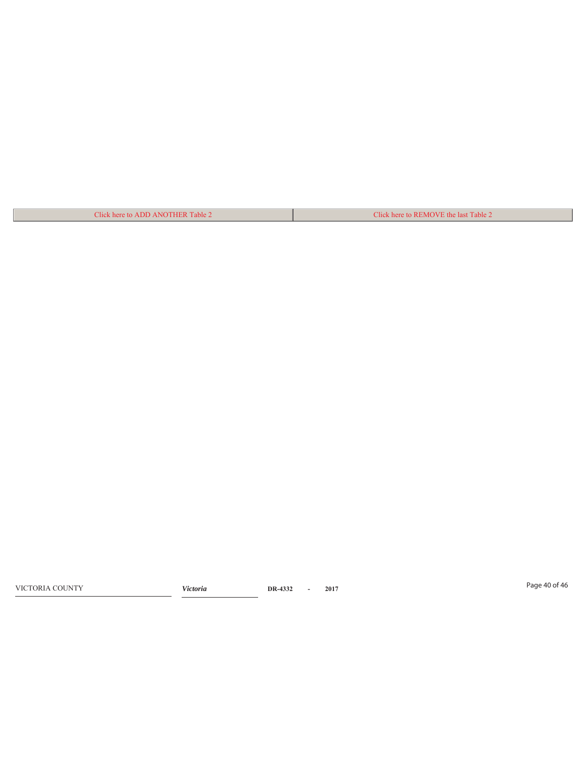| Click here to ADD ANOTHER Table 2 | Click here to REMOVE the last Table 2 |
|-----------------------------------|---------------------------------------|

Page 40 of 46 VICTORIA COUNTY *Victoria* **DR-4332 - 2017**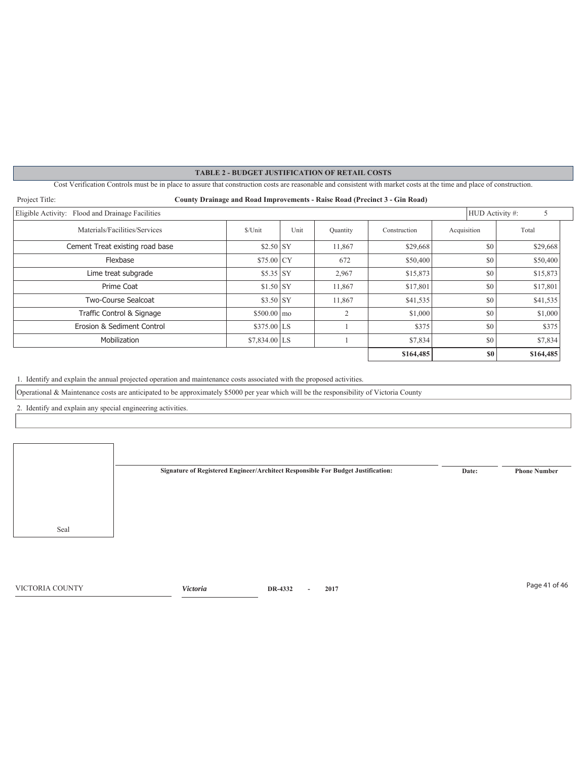Cost Verification Controls must be in place to assure that construction costs are reasonable and consistent with market costs at the time and place of construction.

| Project Title:<br>County Drainage and Road Improvements - Raise Road (Precinct 3 - Gin Road) |                              |      |           |              |             |           |  |  |  |  |  |
|----------------------------------------------------------------------------------------------|------------------------------|------|-----------|--------------|-------------|-----------|--|--|--|--|--|
| Eligible Activity: Flood and Drainage Facilities<br>HUD Activity #:<br>5                     |                              |      |           |              |             |           |  |  |  |  |  |
| Materials/Facilities/Services                                                                | \$/Unit                      | Unit | Quantity  | Construction | Acquisition | Total     |  |  |  |  |  |
| Cement Treat existing road base                                                              | $$2.50$ SY                   |      | 11,867    | \$29,668     | \$0         | \$29,668  |  |  |  |  |  |
| Flexbase                                                                                     | $$75.00$ CY                  |      | 672       | \$50,400     | \$0         | \$50,400  |  |  |  |  |  |
| Lime treat subgrade                                                                          | $$5.35$ SY                   |      | 2,967     | \$15,873     | \$0         | \$15,873  |  |  |  |  |  |
| Prime Coat                                                                                   | $$1.50$ SY                   |      | 11,867    | \$17,801     | \$0         | \$17,801  |  |  |  |  |  |
| Two-Course Sealcoat                                                                          | $$3.50$ SY                   |      | 11,867    | \$41,535     | \$0         | \$41,535  |  |  |  |  |  |
| Traffic Control & Signage                                                                    | $$500.00 \text{ } \text{mo}$ |      | $\bigcap$ | \$1,000      | \$0         | \$1,000   |  |  |  |  |  |
| Erosion & Sediment Control                                                                   | $$375.00$ LS                 |      |           | \$375        | \$0         | \$375     |  |  |  |  |  |
| Mobilization                                                                                 | $$7,834.00$ LS               |      |           | \$7,834      | \$0         | \$7,834   |  |  |  |  |  |
|                                                                                              |                              |      |           | \$164,485    | \$0         | \$164,485 |  |  |  |  |  |

1. Identify and explain the annual projected operation and maintenance costs associated with the proposed activities.

Operational & Maintenance costs are anticipated to be approximately \$5000 per year which will be the responsibility of Victoria County

2. Identify and explain any special engineering activities.

Seal **Signature of Registered Engineer/Architect Responsible For Budget Justification: Date: Phone Number**

Page 41 of 46 VICTORIA COUNTY *Victoria* **DR-4332 - 2017**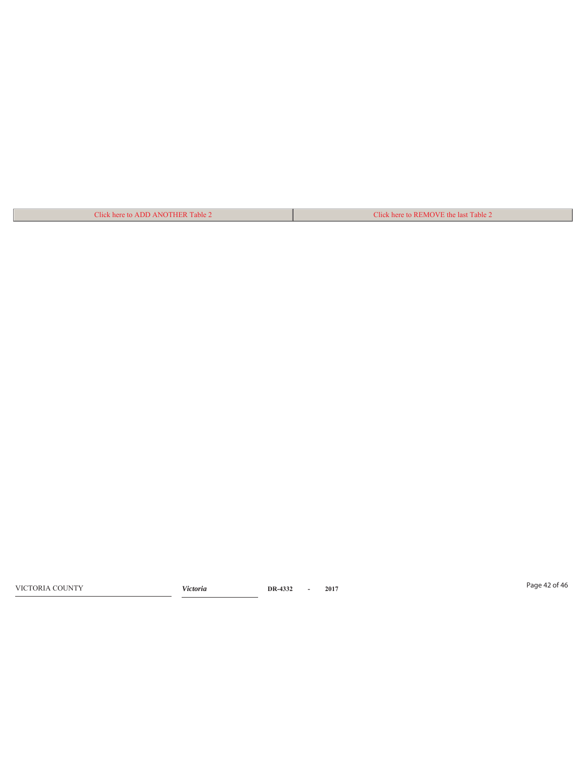| Click here to ADD ANOTHER Table 2 | Click here to REMOVE the last Table 2 |
|-----------------------------------|---------------------------------------|

Page 42 of 46 VICTORIA COUNTY *Victoria* **DR-4332 - 2017**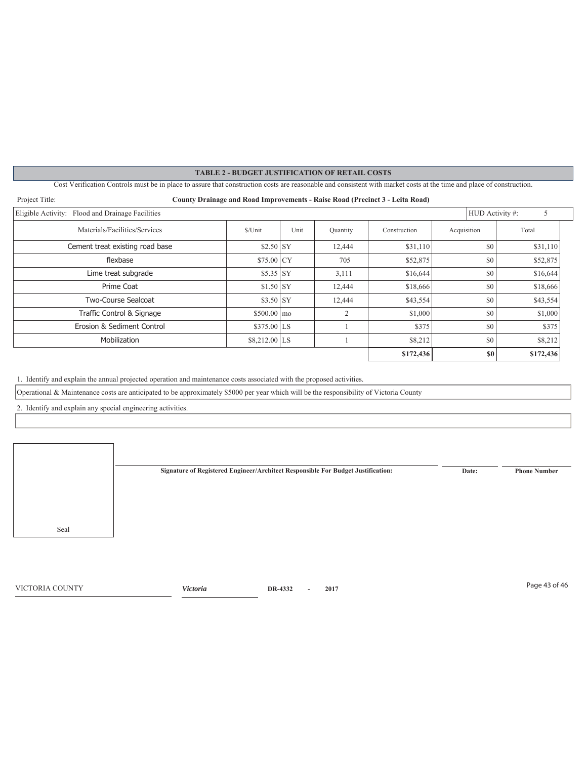Cost Verification Controls must be in place to assure that construction costs are reasonable and consistent with market costs at the time and place of construction.

| Project Title:<br><b>County Drainage and Road Improvements - Raise Road (Precinct 3 - Leita Road)</b> |                     |                      |                |              |                |           |  |  |  |  |
|-------------------------------------------------------------------------------------------------------|---------------------|----------------------|----------------|--------------|----------------|-----------|--|--|--|--|
| Eligible Activity: Flood and Drainage Facilities                                                      |                     | HUD Activity #:<br>5 |                |              |                |           |  |  |  |  |
| Materials/Facilities/Services                                                                         | \$/Unit             | Unit                 | Quantity       | Construction | Acquisition    | Total     |  |  |  |  |
| Cement treat existing road base                                                                       | $$2.50$ SY          |                      | 12,444         | \$31,110     | \$0            | \$31,110  |  |  |  |  |
| flexbase                                                                                              | $$75.00$ CY         |                      | 705            | \$52,875     | \$0            | \$52,875  |  |  |  |  |
| Lime treat subgrade                                                                                   | $$5.35$ SY          |                      | 3,111          | \$16,644     | \$0            | \$16,644  |  |  |  |  |
| Prime Coat                                                                                            | $$1.50$ SY          |                      | 12,444         | \$18,666     | \$0            | \$18,666  |  |  |  |  |
| Two-Course Sealcoat                                                                                   | $$3.50$ SY          |                      | 12,444         | \$43,554     | \$0            | \$43,554  |  |  |  |  |
| Traffic Control & Signage                                                                             | $$500.00 \text{ m}$ |                      | $\overline{2}$ | \$1,000      | \$0            | \$1,000   |  |  |  |  |
| Erosion & Sediment Control                                                                            | $$375.00$ LS        |                      |                | \$375        | \$0            | \$375     |  |  |  |  |
| Mobilization                                                                                          | $$8,212.00$ LS      |                      |                | \$8,212      | \$0            | \$8,212   |  |  |  |  |
|                                                                                                       |                     |                      |                | \$172,436    | S <sub>0</sub> | \$172,436 |  |  |  |  |

1. Identify and explain the annual projected operation and maintenance costs associated with the proposed activities.

Operational & Maintenance costs are anticipated to be approximately \$5000 per year which will be the responsibility of Victoria County

2. Identify and explain any special engineering activities.

Seal **Signature of Registered Engineer/Architect Responsible For Budget Justification: Date: Phone Number**

Page 43 of 46 VICTORIA COUNTY *Victoria* **DR-4332 - 2017**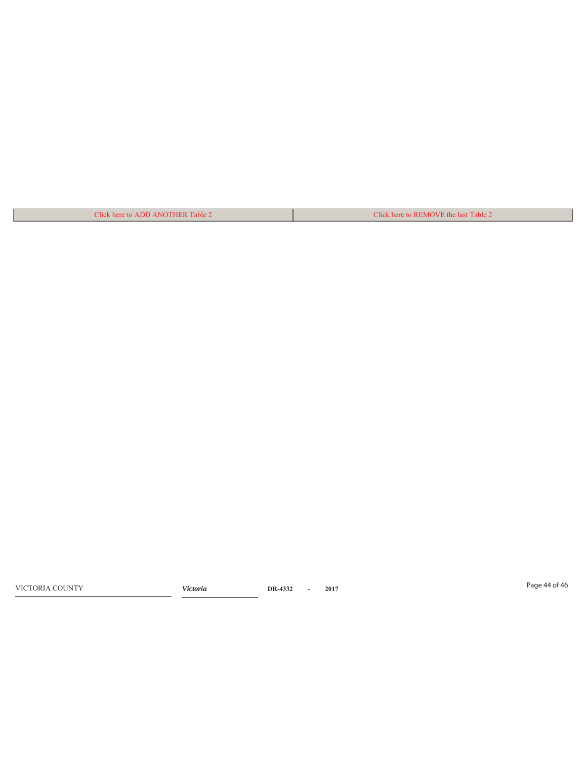| Click here to ADD ANOTHER Table 2 | Click here to REMOVE the last Table 2 |
|-----------------------------------|---------------------------------------|

Page 44 of 46 VICTORIA COUNTY *Victoria* **DR-4332 - 2017**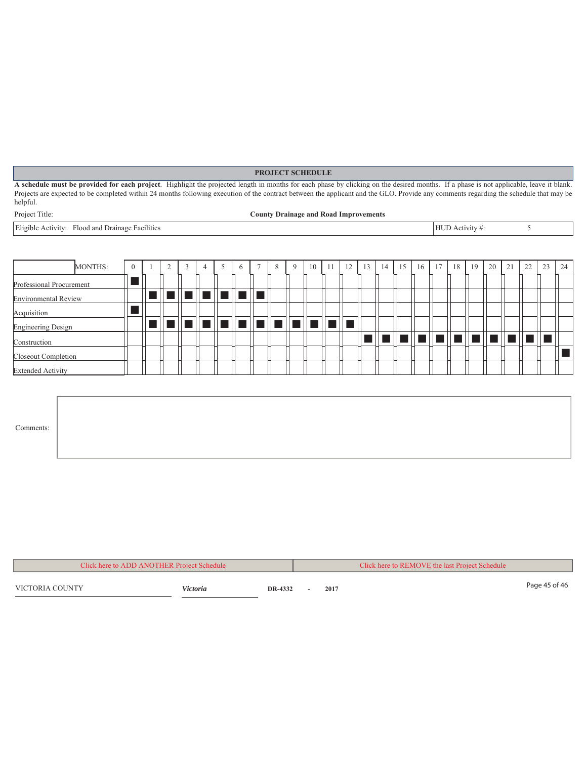#### **PROJECT SCHEDULE**

**A schedule must be provided for each project**. Highlight the projected length in months for each phase by clicking on the desired months. If a phase is not applicable, leave it blank. Projects are expected to be completed within 24 months following execution of the contract between the applicant and the GLO. Provide any comments regarding the schedule that may be helpful.

| roject Title: |  |
|---------------|--|
|---------------|--|

#### Project Title: **County Drainage and Road Improvements**

Eligible Activity: Flood and Drainage Facilities 5

|                             | MONTHS: | $\overline{0}$ |  | $\sim$ |                     | 5 | 6 | 8 | Q | 10 | 11                                             | 12 | 13 | 14 <sup>1</sup> | 15 | 16 | 17 | 18                         | 19 | 20 | 21 | 22 | 23 | 24 |
|-----------------------------|---------|----------------|--|--------|---------------------|---|---|---|---|----|------------------------------------------------|----|----|-----------------|----|----|----|----------------------------|----|----|----|----|----|----|
| Professional Procurement    |         |                |  |        |                     |   |   |   |   |    |                                                |    |    |                 |    |    |    |                            |    |    |    |    |    |    |
| <b>Environmental Review</b> |         |                |  |        | e je je je je je in |   |   |   |   |    |                                                |    |    |                 |    |    |    |                            |    |    |    |    |    |    |
| Acquisition                 |         |                |  |        |                     |   |   |   |   |    |                                                |    |    |                 |    |    |    |                            |    |    |    |    |    |    |
| <b>Engineering Design</b>   |         |                |  |        |                     |   |   |   |   |    | =    =    =    =    =    =    =    =    =    = |    |    |                 |    |    |    |                            |    |    |    |    |    |    |
| Construction                |         |                |  |        |                     |   |   |   |   |    |                                                |    |    |                 |    |    |    | s    w    w    w    w    w |    |    |    |    |    |    |
| Closeout Completion         |         |                |  |        |                     |   |   |   |   |    |                                                |    |    |                 |    |    |    |                            |    |    |    |    |    |    |
| <b>Extended Activity</b>    |         |                |  |        |                     |   |   |   |   |    |                                                |    |    |                 |    |    |    |                            |    |    |    |    |    |    |

| Comments: |  |
|-----------|--|
|           |  |

| Click here to ADD ANOTHER Project Schedule |          |         | Click here to REMOVE the last Project Schedule |  |      |  |               |
|--------------------------------------------|----------|---------|------------------------------------------------|--|------|--|---------------|
| VICTORIA COUNTY                            | Victoria | DR-4332 |                                                |  | 2017 |  | Page 45 of 46 |